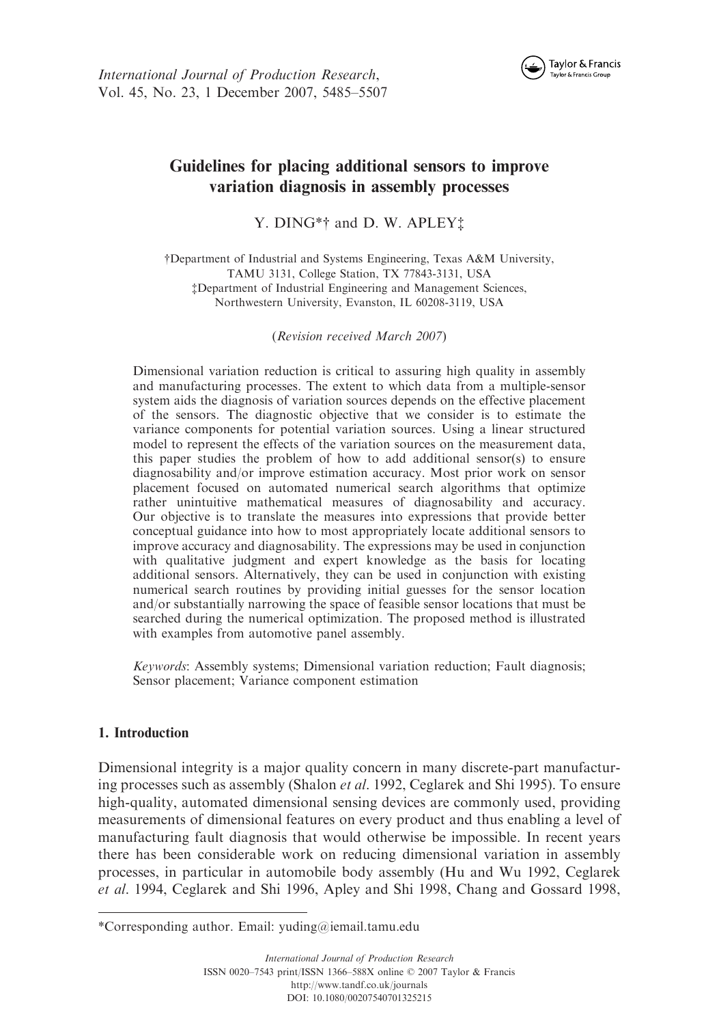

# Guidelines for placing additional sensors to improve variation diagnosis in assembly processes

Y. DING<sup>\*</sup>† and D. W. APLEY<sup>\*</sup>

yDepartment of Industrial and Systems Engineering, Texas A&M University, TAMU 3131, College Station, TX 77843-3131, USA zDepartment of Industrial Engineering and Management Sciences, Northwestern University, Evanston, IL 60208-3119, USA

(Revision received March 2007)

Dimensional variation reduction is critical to assuring high quality in assembly and manufacturing processes. The extent to which data from a multiple-sensor system aids the diagnosis of variation sources depends on the effective placement of the sensors. The diagnostic objective that we consider is to estimate the variance components for potential variation sources. Using a linear structured model to represent the effects of the variation sources on the measurement data, this paper studies the problem of how to add additional sensor(s) to ensure diagnosability and/or improve estimation accuracy. Most prior work on sensor placement focused on automated numerical search algorithms that optimize rather unintuitive mathematical measures of diagnosability and accuracy. Our objective is to translate the measures into expressions that provide better conceptual guidance into how to most appropriately locate additional sensors to improve accuracy and diagnosability. The expressions may be used in conjunction with qualitative judgment and expert knowledge as the basis for locating additional sensors. Alternatively, they can be used in conjunction with existing numerical search routines by providing initial guesses for the sensor location and/or substantially narrowing the space of feasible sensor locations that must be searched during the numerical optimization. The proposed method is illustrated with examples from automotive panel assembly.

Keywords: Assembly systems; Dimensional variation reduction; Fault diagnosis; Sensor placement; Variance component estimation

## 1. Introduction

Dimensional integrity is a major quality concern in many discrete-part manufacturing processes such as assembly (Shalon *et al.* 1992, Ceglarek and Shi 1995). To ensure high-quality, automated dimensional sensing devices are commonly used, providing measurements of dimensional features on every product and thus enabling a level of manufacturing fault diagnosis that would otherwise be impossible. In recent years there has been considerable work on reducing dimensional variation in assembly processes, in particular in automobile body assembly (Hu and Wu 1992, Ceglarek et al. 1994, Ceglarek and Shi 1996, Apley and Shi 1998, Chang and Gossard 1998,

<sup>\*</sup>Corresponding author. Email: yuding@iemail.tamu.edu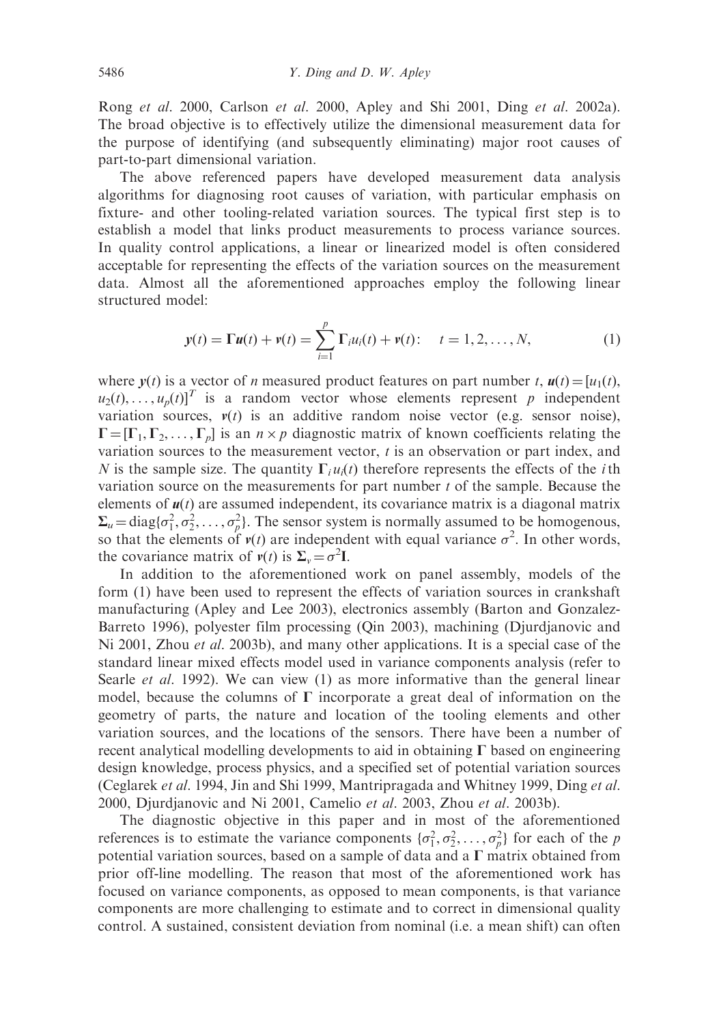Rong et al. 2000, Carlson et al. 2000, Apley and Shi 2001, Ding et al. 2002a). The broad objective is to effectively utilize the dimensional measurement data for the purpose of identifying (and subsequently eliminating) major root causes of part-to-part dimensional variation.

The above referenced papers have developed measurement data analysis algorithms for diagnosing root causes of variation, with particular emphasis on fixture- and other tooling-related variation sources. The typical first step is to establish a model that links product measurements to process variance sources. In quality control applications, a linear or linearized model is often considered acceptable for representing the effects of the variation sources on the measurement data. Almost all the aforementioned approaches employ the following linear structured model:

$$
y(t) = \Gamma u(t) + v(t) = \sum_{i=1}^{p} \Gamma_i u_i(t) + v(t); \quad t = 1, 2, ..., N,
$$
 (1)

where  $y(t)$  is a vector of *n* measured product features on part number t,  $u(t) = [u_1(t)]$ ,  $u_2(t), \ldots, u_n(t)$ <sup>T</sup> is a random vector whose elements represent p independent variation sources,  $v(t)$  is an additive random noise vector (e.g. sensor noise),  $\Gamma = [\Gamma_1, \Gamma_2, \ldots, \Gamma_n]$  is an  $n \times p$  diagnostic matrix of known coefficients relating the variation sources to the measurement vector,  $t$  is an observation or part index, and N is the sample size. The quantity  $\Gamma_i u_i(t)$  therefore represents the effects of the *i*th variation source on the measurements for part number  $t$  of the sample. Because the elements of  $u(t)$  are assumed independent, its covariance matrix is a diagonal matrix  $\Sigma_u = \text{diag}\{\sigma_1^2, \sigma_2^2, \dots, \sigma_p^2\}$ . The sensor system is normally assumed to be homogenous, so that the elements of  $v(t)$  are independent with equal variance  $\sigma^2$ . In other words, the covariance matrix of  $v(t)$  is  $\Sigma_v = \sigma^2 I$ .

In addition to the aforementioned work on panel assembly, models of the form (1) have been used to represent the effects of variation sources in crankshaft manufacturing (Apley and Lee 2003), electronics assembly (Barton and Gonzalez-Barreto 1996), polyester film processing (Qin 2003), machining (Djurdjanovic and Ni 2001, Zhou et al. 2003b), and many other applications. It is a special case of the standard linear mixed effects model used in variance components analysis (refer to Searle *et al.* 1992). We can view (1) as more informative than the general linear model, because the columns of  $\Gamma$  incorporate a great deal of information on the geometry of parts, the nature and location of the tooling elements and other variation sources, and the locations of the sensors. There have been a number of recent analytical modelling developments to aid in obtaining  $\Gamma$  based on engineering design knowledge, process physics, and a specified set of potential variation sources (Ceglarek et al. 1994, Jin and Shi 1999, Mantripragada and Whitney 1999, Ding et al. 2000, Djurdjanovic and Ni 2001, Camelio et al. 2003, Zhou et al. 2003b).

The diagnostic objective in this paper and in most of the aforementioned references is to estimate the variance components  $\{\sigma_1^2, \sigma_2^2, \ldots, \sigma_p^2\}$  for each of the p potential variation sources, based on a sample of data and a  $\Gamma$  matrix obtained from prior off-line modelling. The reason that most of the aforementioned work has focused on variance components, as opposed to mean components, is that variance components are more challenging to estimate and to correct in dimensional quality control. A sustained, consistent deviation from nominal (i.e. a mean shift) can often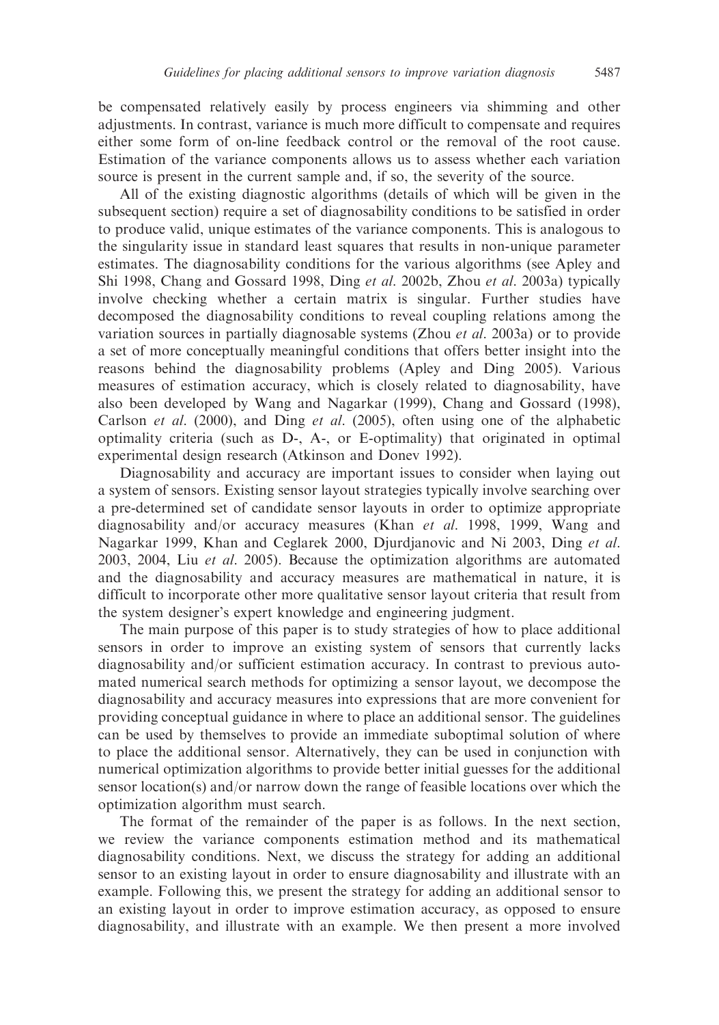be compensated relatively easily by process engineers via shimming and other adjustments. In contrast, variance is much more difficult to compensate and requires either some form of on-line feedback control or the removal of the root cause. Estimation of the variance components allows us to assess whether each variation source is present in the current sample and, if so, the severity of the source.

All of the existing diagnostic algorithms (details of which will be given in the subsequent section) require a set of diagnosability conditions to be satisfied in order to produce valid, unique estimates of the variance components. This is analogous to the singularity issue in standard least squares that results in non-unique parameter estimates. The diagnosability conditions for the various algorithms (see Apley and Shi 1998, Chang and Gossard 1998, Ding et al. 2002b, Zhou et al. 2003a) typically involve checking whether a certain matrix is singular. Further studies have decomposed the diagnosability conditions to reveal coupling relations among the variation sources in partially diagnosable systems (Zhou *et al.* 2003a) or to provide a set of more conceptually meaningful conditions that offers better insight into the reasons behind the diagnosability problems (Apley and Ding 2005). Various measures of estimation accuracy, which is closely related to diagnosability, have also been developed by Wang and Nagarkar (1999), Chang and Gossard (1998), Carlson *et al.* (2000), and Ding *et al.* (2005), often using one of the alphabetic optimality criteria (such as D-, A-, or E-optimality) that originated in optimal experimental design research (Atkinson and Donev 1992).

Diagnosability and accuracy are important issues to consider when laying out a system of sensors. Existing sensor layout strategies typically involve searching over a pre-determined set of candidate sensor layouts in order to optimize appropriate diagnosability and/or accuracy measures (Khan *et al.* 1998, 1999, Wang and Nagarkar 1999, Khan and Ceglarek 2000, Djurdjanovic and Ni 2003, Ding et al. 2003, 2004, Liu et al. 2005). Because the optimization algorithms are automated and the diagnosability and accuracy measures are mathematical in nature, it is difficult to incorporate other more qualitative sensor layout criteria that result from the system designer's expert knowledge and engineering judgment.

The main purpose of this paper is to study strategies of how to place additional sensors in order to improve an existing system of sensors that currently lacks diagnosability and/or sufficient estimation accuracy. In contrast to previous automated numerical search methods for optimizing a sensor layout, we decompose the diagnosability and accuracy measures into expressions that are more convenient for providing conceptual guidance in where to place an additional sensor. The guidelines can be used by themselves to provide an immediate suboptimal solution of where to place the additional sensor. Alternatively, they can be used in conjunction with numerical optimization algorithms to provide better initial guesses for the additional sensor location(s) and/or narrow down the range of feasible locations over which the optimization algorithm must search.

The format of the remainder of the paper is as follows. In the next section, we review the variance components estimation method and its mathematical diagnosability conditions. Next, we discuss the strategy for adding an additional sensor to an existing layout in order to ensure diagnosability and illustrate with an example. Following this, we present the strategy for adding an additional sensor to an existing layout in order to improve estimation accuracy, as opposed to ensure diagnosability, and illustrate with an example. We then present a more involved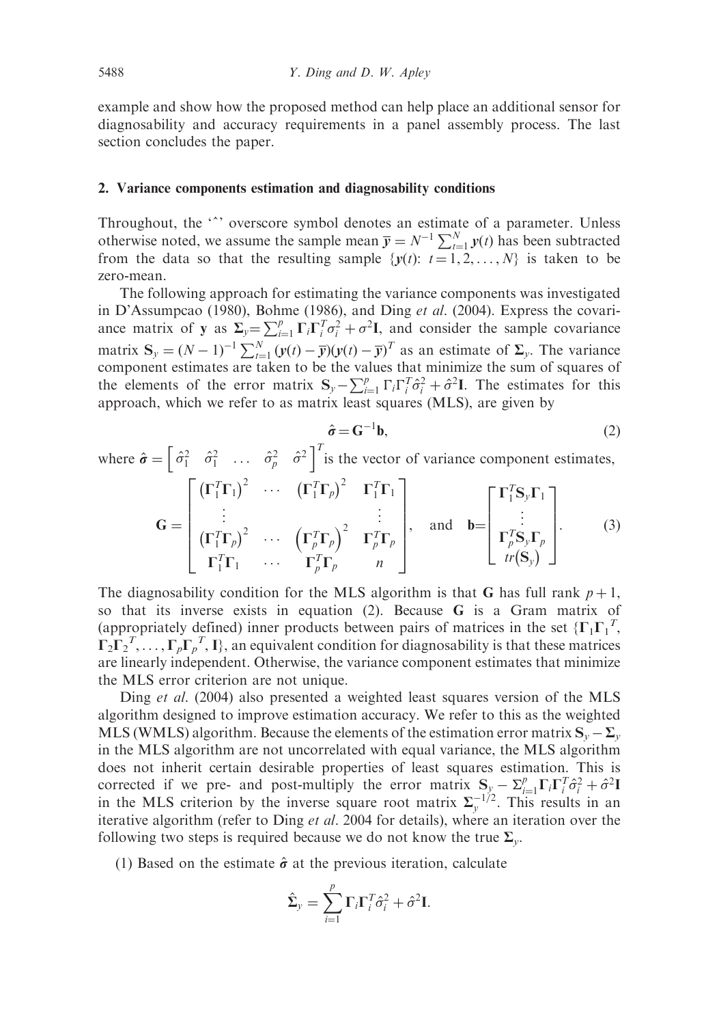example and show how the proposed method can help place an additional sensor for diagnosability and accuracy requirements in a panel assembly process. The last section concludes the paper.

#### 2. Variance components estimation and diagnosability conditions

Throughout, the "" overscore symbol denotes an estimate of a parameter. Unless otherwise noted, we assume the sample mean  $\overline{y} = N^{-1} \sum_{t=1}^{N} y(t)$  has been subtracted from the data so that the resulting sample  $\{y(t): t = 1, 2, \ldots, N\}$  is taken to be zero-mean.

The following approach for estimating the variance components was investigated in D'Assumpcao (1980), Bohme (1986), and Ding et al. (2004). Express the covariance matrix of y as  $\Sigma_y = \sum_{i=1}^p \Gamma_i \Gamma_i^T \sigma_i^2 + \sigma^2 I$ , and consider the sample covariance matrix  $S_y = (N-1)^{-1} \sum_{t=1}^{N} (y(t) - \overline{y})(y(t) - \overline{y})^T$  as an estimate of  $\Sigma_y$ . The variance component estimates are taken to be the values that minimize the sum of squares of the elements of the error matrix  $S_y - \sum_{i=1}^p \Gamma_i \Gamma_i^T \hat{\sigma}_i^2 + \hat{\sigma}^2 I$ . The estimates for this approach, which we refer to as matrix least squares (MLS), are given by

$$
\hat{\sigma} = \mathbf{G}^{-1} \mathbf{b},\tag{2}
$$

where 
$$
\hat{\sigma} = \begin{bmatrix} \hat{\sigma}_1^2 & \hat{\sigma}_1^2 & \dots & \hat{\sigma}_p^2 & \hat{\sigma}^2 \end{bmatrix}^T
$$
 is the vector of variance component estimates,

$$
\mathbf{G} = \begin{bmatrix} (\mathbf{\Gamma}_1^T \mathbf{\Gamma}_1)^2 & \cdots & (\mathbf{\Gamma}_1^T \mathbf{\Gamma}_p)^2 & \mathbf{\Gamma}_1^T \mathbf{\Gamma}_1 \\ \vdots & & \vdots \\ (\mathbf{\Gamma}_1^T \mathbf{\Gamma}_p)^2 & \cdots & (\mathbf{\Gamma}_p^T \mathbf{\Gamma}_p)^2 & \mathbf{\Gamma}_p^T \mathbf{\Gamma}_p \\ \mathbf{\Gamma}_1^T \mathbf{\Gamma}_1 & \cdots & \mathbf{\Gamma}_p^T \mathbf{\Gamma}_p & n \end{bmatrix}, \text{ and } \mathbf{b} = \begin{bmatrix} \mathbf{\Gamma}_1^T \mathbf{S}_y \mathbf{\Gamma}_1 \\ \vdots \\ \mathbf{\Gamma}_p^T \mathbf{S}_y \mathbf{\Gamma}_p \\ tr(\mathbf{S}_y) \end{bmatrix}.
$$
 (3)

The diagnosability condition for the MLS algorithm is that G has full rank  $p+1$ , so that its inverse exists in equation (2). Because G is a Gram matrix of (appropriately defined) inner products between pairs of matrices in the set  ${ {\left\{ {\Gamma _1} \Gamma _1^T \right\}}$  $\Gamma_2 \Gamma_2^T, \ldots, \Gamma_p \Gamma_p^T$ , I}, an equivalent condition for diagnosability is that these matrices are linearly independent. Otherwise, the variance component estimates that minimize the MLS error criterion are not unique.

Ding *et al.* (2004) also presented a weighted least squares version of the MLS algorithm designed to improve estimation accuracy. We refer to this as the weighted MLS (WMLS) algorithm. Because the elements of the estimation error matrix  $S_y - \Sigma_y$ in the MLS algorithm are not uncorrelated with equal variance, the MLS algorithm does not inherit certain desirable properties of least squares estimation. This is corrected if we pre- and post-multiply the error matrix  $S_y - \sum_{i=1}^p \Gamma_i \Gamma_i^T \hat{\sigma}_i^2 + \hat{\sigma}^2 I$ in the MLS criterion by the inverse square root matrix  $\Sigma_{y}^{-1/2}$ . This results in an iterative algorithm (refer to Ding et al. 2004 for details), where an iteration over the following two steps is required because we do not know the true  $\Sigma_{\nu}$ .

(1) Based on the estimate  $\hat{\sigma}$  at the previous iteration, calculate

$$
\hat{\Sigma}_y = \sum_{i=1}^p \Gamma_i \Gamma_i^T \hat{\sigma}_i^2 + \hat{\sigma}^2 \mathbf{I}.
$$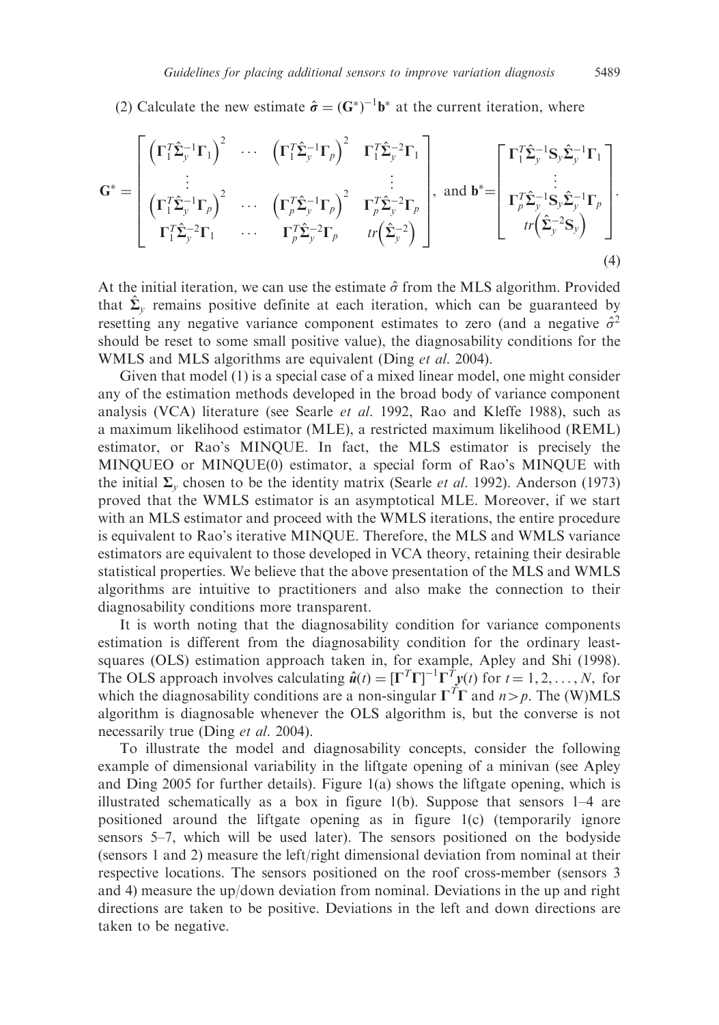(2) Calculate the new estimate  $\hat{\sigma} = (\mathbf{G}^*)^{-1} \mathbf{b}^*$  at the current iteration, where

$$
\mathbf{G}^* = \begin{bmatrix} \left(\boldsymbol{\Gamma}_1^T \hat{\boldsymbol{\Sigma}}_y^{-1} \boldsymbol{\Gamma}_1\right)^2 & \cdots & \left(\boldsymbol{\Gamma}_1^T \hat{\boldsymbol{\Sigma}}_y^{-1} \boldsymbol{\Gamma}_p\right)^2 & \boldsymbol{\Gamma}_1^T \hat{\boldsymbol{\Sigma}}_y^{-2} \boldsymbol{\Gamma}_1 \\ \vdots & & \vdots \\ \left(\boldsymbol{\Gamma}_1^T \hat{\boldsymbol{\Sigma}}_y^{-1} \boldsymbol{\Gamma}_p\right)^2 & \cdots & \left(\boldsymbol{\Gamma}_p^T \hat{\boldsymbol{\Sigma}}_y^{-1} \boldsymbol{\Gamma}_p\right)^2 & \boldsymbol{\Gamma}_p^T \hat{\boldsymbol{\Sigma}}_y^{-2} \boldsymbol{\Gamma}_p \\ \boldsymbol{\Gamma}_1^T \hat{\boldsymbol{\Sigma}}_y^{-1} \boldsymbol{\Gamma}_p\right)^2 & \cdots & \left(\boldsymbol{\Gamma}_p^T \hat{\boldsymbol{\Sigma}}_y^{-1} \boldsymbol{\Gamma}_p\right)^2 & \boldsymbol{\Gamma}_p^T \hat{\boldsymbol{\Sigma}}_y^{-2} \boldsymbol{\Gamma}_p \\ \boldsymbol{\Gamma}_1^T \hat{\boldsymbol{\Sigma}}_y^{-1} \boldsymbol{\Sigma}_1 & \cdots & \boldsymbol{\Gamma}_p^T \hat{\boldsymbol{\Sigma}}_y^{-2} \boldsymbol{\Gamma}_p & tr\left(\hat{\boldsymbol{\Sigma}}_y^{-2}\right) \end{bmatrix}, \text{ and } \mathbf{b}^* = \begin{bmatrix} \boldsymbol{\Gamma}_1^T \hat{\boldsymbol{\Sigma}}_y^{-1} \boldsymbol{\mathbf{S}}_y \hat{\boldsymbol{\Sigma}}_y^{-1} \boldsymbol{\Gamma}_1 \\ \vdots \\ \boldsymbol{\Gamma}_p^T \hat{\boldsymbol{\Sigma}}_y^{-1} \boldsymbol{\Sigma}_y \hat{\boldsymbol{\Sigma}}_y^{-1} \boldsymbol{\Gamma}_p \\ tr\left(\hat{\boldsymbol{\Sigma}}_y^{-2} \boldsymbol{\mathbf{S}}_y\right) \end{bmatrix} .
$$
\n(4)

At the initial iteration, we can use the estimate  $\hat{\sigma}$  from the MLS algorithm. Provided that  $\hat{\Sigma}_v$  remains positive definite at each iteration, which can be guaranteed by resetting any negative variance component estimates to zero (and a negative  $\hat{\sigma}^2$ should be reset to some small positive value), the diagnosability conditions for the WMLS and MLS algorithms are equivalent (Ding et al. 2004).

Given that model (1) is a special case of a mixed linear model, one might consider any of the estimation methods developed in the broad body of variance component analysis (VCA) literature (see Searle et al. 1992, Rao and Kleffe 1988), such as a maximum likelihood estimator (MLE), a restricted maximum likelihood (REML) estimator, or Rao's MINQUE. In fact, the MLS estimator is precisely the MINQUEO or MINQUE(0) estimator, a special form of Rao's MINQUE with the initial  $\Sigma$ <sub>v</sub> chosen to be the identity matrix (Searle *et al.* 1992). Anderson (1973) proved that the WMLS estimator is an asymptotical MLE. Moreover, if we start with an MLS estimator and proceed with the WMLS iterations, the entire procedure is equivalent to Rao's iterative MINQUE. Therefore, the MLS and WMLS variance estimators are equivalent to those developed in VCA theory, retaining their desirable statistical properties. We believe that the above presentation of the MLS and WMLS algorithms are intuitive to practitioners and also make the connection to their diagnosability conditions more transparent.

It is worth noting that the diagnosability condition for variance components estimation is different from the diagnosability condition for the ordinary leastsquares (OLS) estimation approach taken in, for example, Apley and Shi (1998). The OLS approach involves calculating  $\hat{u}(t) = [\Gamma^T \Gamma]^{-1} \Gamma^T y(t)$  for  $t = 1, 2, ..., N$ , for which the diagnosability conditions are a non-singular  $\Gamma^T \Gamma$  and  $n > p$ . The (W)MLS algorithm is diagnosable whenever the OLS algorithm is, but the converse is not necessarily true (Ding *et al.* 2004).

To illustrate the model and diagnosability concepts, consider the following example of dimensional variability in the liftgate opening of a minivan (see Apley and Ding 2005 for further details). Figure 1(a) shows the liftgate opening, which is illustrated schematically as a box in figure 1(b). Suppose that sensors 1–4 are positioned around the liftgate opening as in figure 1(c) (temporarily ignore sensors 5–7, which will be used later). The sensors positioned on the bodyside (sensors 1 and 2) measure the left/right dimensional deviation from nominal at their respective locations. The sensors positioned on the roof cross-member (sensors 3 and 4) measure the up/down deviation from nominal. Deviations in the up and right directions are taken to be positive. Deviations in the left and down directions are taken to be negative.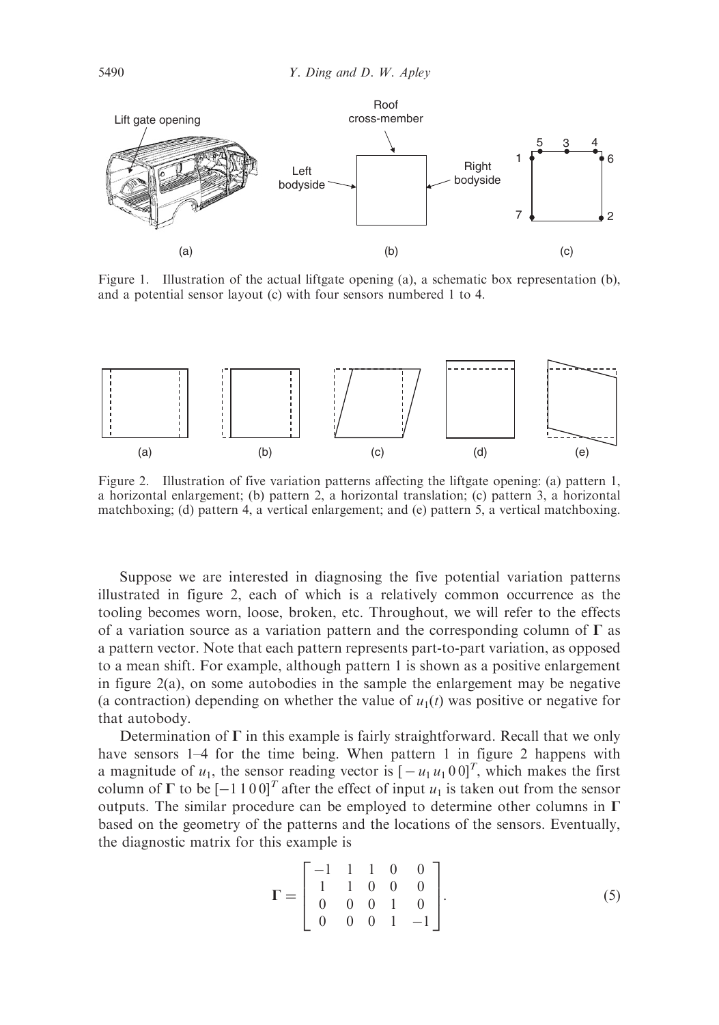

Figure 1. Illustration of the actual liftgate opening (a), a schematic box representation (b), and a potential sensor layout (c) with four sensors numbered 1 to 4.



Figure 2. Illustration of five variation patterns affecting the liftgate opening: (a) pattern 1, a horizontal enlargement; (b) pattern 2, a horizontal translation; (c) pattern 3, a horizontal matchboxing; (d) pattern 4, a vertical enlargement; and (e) pattern 5, a vertical matchboxing.

Suppose we are interested in diagnosing the five potential variation patterns illustrated in figure 2, each of which is a relatively common occurrence as the tooling becomes worn, loose, broken, etc. Throughout, we will refer to the effects of a variation source as a variation pattern and the corresponding column of  $\Gamma$  as a pattern vector. Note that each pattern represents part-to-part variation, as opposed to a mean shift. For example, although pattern 1 is shown as a positive enlargement in figure 2(a), on some autobodies in the sample the enlargement may be negative (a contraction) depending on whether the value of  $u_1(t)$  was positive or negative for that autobody.

Determination of  $\Gamma$  in this example is fairly straightforward. Recall that we only have sensors 1–4 for the time being. When pattern 1 in figure 2 happens with a magnitude of  $u_1$ , the sensor reading vector is  $[-u_1u_100]^T$ , which makes the first column of  $\Gamma$  to be  $[-1 1 0 0]^T$  after the effect of input  $u_1$  is taken out from the sensor outputs. The similar procedure can be employed to determine other columns in  $\Gamma$ based on the geometry of the patterns and the locations of the sensors. Eventually, the diagnostic matrix for this example is

$$
\Gamma = \begin{bmatrix} -1 & 1 & 1 & 0 & 0 \\ 1 & 1 & 0 & 0 & 0 \\ 0 & 0 & 0 & 1 & 0 \\ 0 & 0 & 0 & 1 & -1 \end{bmatrix}.
$$
 (5)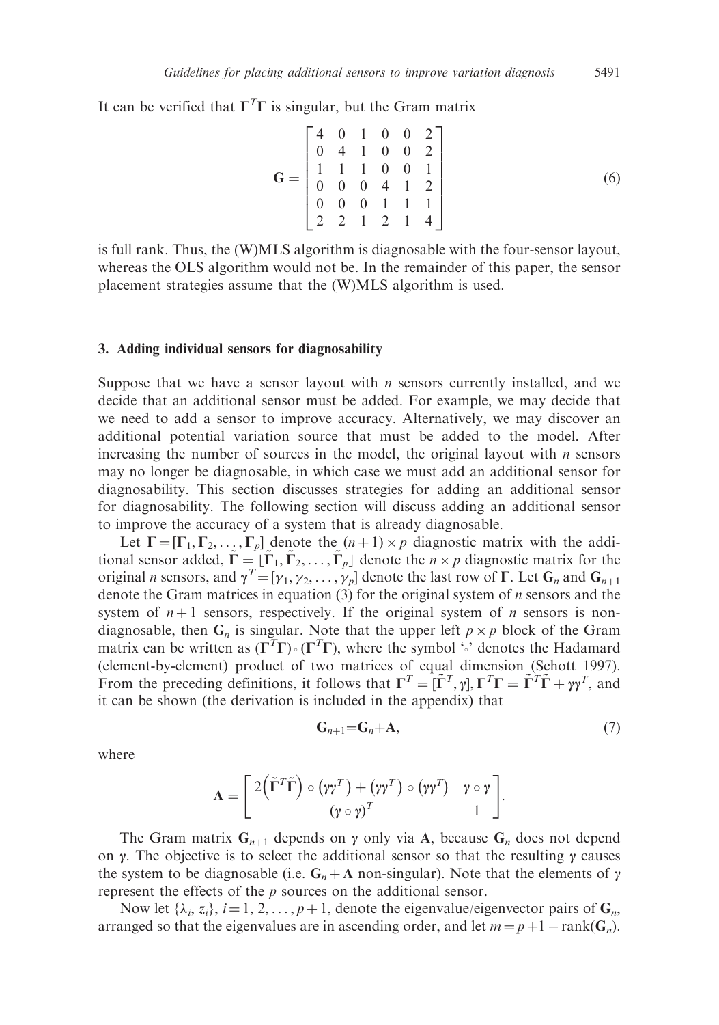It can be verified that  $\Gamma^T \Gamma$  is singular, but the Gram matrix

$$
\mathbf{G} = \begin{bmatrix} 4 & 0 & 1 & 0 & 0 & 2 \\ 0 & 4 & 1 & 0 & 0 & 2 \\ 1 & 1 & 1 & 0 & 0 & 1 \\ 0 & 0 & 0 & 4 & 1 & 2 \\ 0 & 0 & 0 & 1 & 1 & 1 \\ 2 & 2 & 1 & 2 & 1 & 4 \end{bmatrix}
$$
(6)

is full rank. Thus, the (W)MLS algorithm is diagnosable with the four-sensor layout, whereas the OLS algorithm would not be. In the remainder of this paper, the sensor placement strategies assume that the (W)MLS algorithm is used.

#### 3. Adding individual sensors for diagnosability

Suppose that we have a sensor layout with  $n$  sensors currently installed, and we decide that an additional sensor must be added. For example, we may decide that we need to add a sensor to improve accuracy. Alternatively, we may discover an additional potential variation source that must be added to the model. After increasing the number of sources in the model, the original layout with  $n$  sensors may no longer be diagnosable, in which case we must add an additional sensor for diagnosability. This section discusses strategies for adding an additional sensor for diagnosability. The following section will discuss adding an additional sensor to improve the accuracy of a system that is already diagnosable.

Let  $\Gamma = [\Gamma_1, \Gamma_2, \dots, \Gamma_p]$  denote the  $(n+1) \times p$  diagnostic matrix with the additional sensor added,  $\tilde{\Gamma} = [\tilde{\Gamma}_1, \tilde{\Gamma}_2, \ldots, \tilde{\Gamma}_p]$  denote the  $n \times p$  diagnostic matrix for the original *n* sensors, and  $\gamma^T = [\gamma_1, \gamma_2, \dots, \gamma_p]$  denote the last row of  $\Gamma$ . Let  $G_n$  and  $G_{n+1}$ denote the Gram matrices in equation  $(3)$  for the original system of *n* sensors and the system of  $n+1$  sensors, respectively. If the original system of n sensors is nondiagnosable, then  $G_n$  is singular. Note that the upper left  $p \times p$  block of the Gram matrix can be written as  $(\Gamma^T \Gamma) \cdot (\Gamma^T \Gamma)$ , where the symbol  $\cdot \cdot$  denotes the Hadamard (element-by-element) product of two matrices of equal dimension (Schott 1997). From the preceding definitions, it follows that  $\Gamma^T = [\tilde{\Gamma}^T, \gamma], \Gamma^T \Gamma = \tilde{\Gamma}^T \tilde{\Gamma} + \gamma \gamma^T$ , and it can be shown (the derivation is included in the appendix) that

$$
\mathbf{G}_{n+1} = \mathbf{G}_n + \mathbf{A},\tag{7}
$$

where

$$
\mathbf{A} = \begin{bmatrix} 2(\tilde{\mathbf{\Gamma}}^T \tilde{\mathbf{\Gamma}}) \circ (\gamma \gamma^T) + (\gamma \gamma^T) \circ (\gamma \gamma^T) & \gamma \circ \gamma \\ (\gamma \circ \gamma)^T & 1 \end{bmatrix}.
$$

The Gram matrix  $G_{n+1}$  depends on  $\gamma$  only via A, because  $G_n$  does not depend on  $\gamma$ . The objective is to select the additional sensor so that the resulting  $\gamma$  causes the system to be diagnosable (i.e.  $G_n + A$  non-singular). Note that the elements of  $\gamma$ represent the effects of the  $p$  sources on the additional sensor.

Now let  $\{\lambda_i, z_i\}$ ,  $i = 1, 2, \ldots, p + 1$ , denote the eigenvalue/eigenvector pairs of  $G_n$ , arranged so that the eigenvalues are in ascending order, and let  $m = p + 1 - \text{rank}(G_n)$ .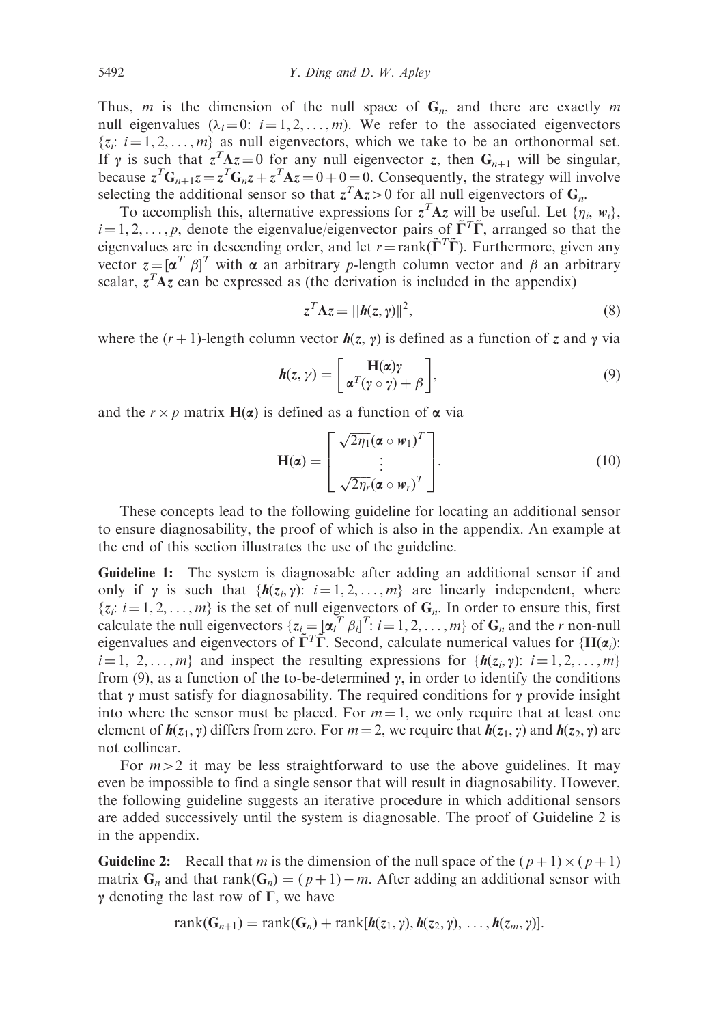Thus, m is the dimension of the null space of  $G_n$ , and there are exactly m null eigenvalues  $(\lambda_i = 0: i = 1, 2, ..., m)$ . We refer to the associated eigenvectors  $\{z_i: i = 1, 2, \ldots, m\}$  as null eigenvectors, which we take to be an orthonormal set. If  $\gamma$  is such that  $\zeta^T A z = 0$  for any null eigenvector z, then  $G_{n+1}$  will be singular, because  $z^T G_{n+1} z = z^T G_n z + z^T A z = 0 + 0 = 0$ . Consequently, the strategy will involve selecting the additional sensor so that  $z^T A z > 0$  for all null eigenvectors of  $G_n$ .

To accomplish this, alternative expressions for  $z^T A z$  will be useful. Let  $\{\eta_i, w_i\}$ ,  $i = 1, 2, \ldots, p$ , denote the eigenvalue/eigenvector pairs of  $\tilde{\Gamma}^T \tilde{\Gamma}$ , arranged so that the eigenvalues are in descending order, and let  $r = \text{rank}(\tilde{\Gamma}^T \tilde{\Gamma})$ . Furthermore, given any vector  $z = [\alpha^T \beta]^T$  with  $\alpha$  an arbitrary p-length column vector and  $\beta$  an arbitrary scalar,  $z^T A z$  can be expressed as (the derivation is included in the appendix)

$$
z^T A z = ||h(z, \gamma)||^2, \qquad (8)
$$

where the  $(r + 1)$ -length column vector  $h(z, \gamma)$  is defined as a function of z and  $\gamma$  via

$$
h(z, \gamma) = \left[ \frac{H(\alpha)\gamma}{\alpha^T (\gamma \circ \gamma) + \beta} \right],
$$
 (9)

and the  $r \times p$  matrix  $H(\alpha)$  is defined as a function of  $\alpha$  via

$$
\mathbf{H}(\boldsymbol{\alpha}) = \begin{bmatrix} \sqrt{2\eta_1} (\boldsymbol{\alpha} \circ \boldsymbol{w}_1)^T \\ \vdots \\ \sqrt{2\eta_r} (\boldsymbol{\alpha} \circ \boldsymbol{w}_r)^T \end{bmatrix} . \tag{10}
$$

These concepts lead to the following guideline for locating an additional sensor to ensure diagnosability, the proof of which is also in the appendix. An example at the end of this section illustrates the use of the guideline.

Guideline 1: The system is diagnosable after adding an additional sensor if and only if  $\gamma$  is such that  $\{h(z_i, \gamma): i = 1, 2, ..., m\}$  are linearly independent, where  $\{z_i: i = 1, 2, \ldots, m\}$  is the set of null eigenvectors of  $G_n$ . In order to ensure this, first calculate the null eigenvectors  $\{z_i = [\alpha_i^T \beta_i]^T : i = 1, 2, ..., m\}$  of  $G_n$  and the *r* non-null eigenvalues and eigenvectors of  $\tilde{\Gamma}^T \tilde{\Gamma}$ . Second, calculate numerical values for {H( $\alpha_i$ ):  $i = 1, 2, \ldots, m$  and inspect the resulting expressions for  $\{h(z_i, \gamma): i = 1, 2, \ldots, m\}$ from (9), as a function of the to-be-determined  $\gamma$ , in order to identify the conditions that  $\gamma$  must satisfy for diagnosability. The required conditions for  $\gamma$  provide insight into where the sensor must be placed. For  $m = 1$ , we only require that at least one element of  $h(z_1, \gamma)$  differs from zero. For  $m = 2$ , we require that  $h(z_1, \gamma)$  and  $h(z_2, \gamma)$  are not collinear.

For  $m>2$  it may be less straightforward to use the above guidelines. It may even be impossible to find a single sensor that will result in diagnosability. However, the following guideline suggests an iterative procedure in which additional sensors are added successively until the system is diagnosable. The proof of Guideline 2 is in the appendix.

**Guideline 2:** Recall that m is the dimension of the null space of the  $(p+1) \times (p+1)$ matrix  $G_n$  and that  $rank(G_n) = (p+1) - m$ . After adding an additional sensor with  $\gamma$  denoting the last row of  $\Gamma$ , we have

$$
rank(G_{n+1}) = rank(G_n) + rank[h(z_1, \gamma), h(z_2, \gamma), \ldots, h(z_m, \gamma)].
$$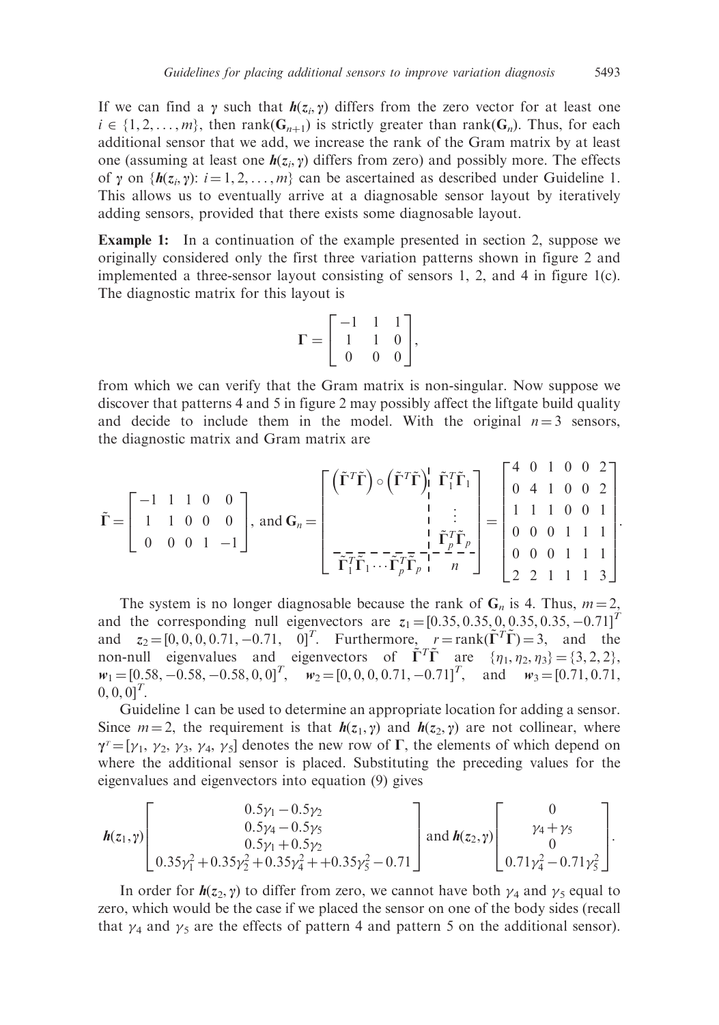If we can find a y such that  $h(z_i, y)$  differs from the zero vector for at least one  $i \in \{1, 2, \ldots, m\}$ , then rank( $G_{n+1}$ ) is strictly greater than rank( $G_n$ ). Thus, for each additional sensor that we add, we increase the rank of the Gram matrix by at least one (assuming at least one  $h(z_i, \gamma)$  differs from zero) and possibly more. The effects of y on  $\{h(z_i, y): i = 1, 2, \ldots, m\}$  can be ascertained as described under Guideline 1. This allows us to eventually arrive at a diagnosable sensor layout by iteratively adding sensors, provided that there exists some diagnosable layout.

Example 1: In a continuation of the example presented in section 2, suppose we originally considered only the first three variation patterns shown in figure 2 and implemented a three-sensor layout consisting of sensors 1, 2, and 4 in figure  $1(c)$ . The diagnostic matrix for this layout is

$$
\Gamma = \begin{bmatrix} -1 & 1 & 1 \\ 1 & 1 & 0 \\ 0 & 0 & 0 \end{bmatrix},
$$

from which we can verify that the Gram matrix is non-singular. Now suppose we discover that patterns 4 and 5 in figure 2 may possibly affect the liftgate build quality and decide to include them in the model. With the original  $n = 3$  sensors, the diagnostic matrix and Gram matrix are

$$
\tilde{\mathbf{\Gamma}} = \begin{bmatrix} -1 & 1 & 1 & 0 & 0 \\ 1 & 1 & 0 & 0 & 0 \\ 0 & 0 & 0 & 1 & -1 \end{bmatrix}, \text{ and } \mathbf{G}_n = \begin{bmatrix} (\tilde{\mathbf{\Gamma}}^T \tilde{\mathbf{\Gamma}}) \circ (\tilde{\mathbf{\Gamma}}^T \tilde{\mathbf{\Gamma}}) \Big| & \tilde{\mathbf{\Gamma}}_1^T \tilde{\mathbf{\Gamma}}_1 \\ & \Big| & \vdots \\ & \Big| & \tilde{\mathbf{\Gamma}}_1^T \tilde{\mathbf{\Gamma}}_1 \\ & \Big| & \tilde{\mathbf{\Gamma}}_1^T \tilde{\mathbf{\Gamma}}_1 \\ & \vdots \\ \tilde{\mathbf{\Gamma}}_1^T \tilde{\mathbf{\Gamma}}_1 \cdots \tilde{\mathbf{\Gamma}}_p^T \tilde{\mathbf{\Gamma}}_p \Big| & \Big| & 0 & 0 & 1 \\ & \Big| & \tilde{\mathbf{\Gamma}}_1^T \tilde{\mathbf{\Gamma}}_1 \\ & \Big| & \Big| & \tilde{\mathbf{\Gamma}}_1^T \tilde{\mathbf{\Gamma}}_1 \\ & \Big| & \Big| & \Big| & \Big| & 0 & 0 & 1 & 1 \\ 0 & 0 & 0 & 1 & 1 & 1 \\ 0 & 0 & 0 & 1 & 1 & 1 \\ 2 & 2 & 1 & 1 & 1 & 3 \end{bmatrix}.
$$

The system is no longer diagnosable because the rank of  $G_n$  is 4. Thus,  $m = 2$ , and the corresponding null eigenvectors are  $z_1 = [0.35, 0.35, 0.35, 0.35, -0.71]^T$ and  $z_2 = [0, 0, 0, 0.71, -0.71, 0]^T$ . Furthermore,  $r = \text{rank}(\tilde{\Gamma}^T \tilde{\Gamma}) = 3$ , and the non-null eigenvalues and eigenvectors of  $\tilde{\Gamma}^T \tilde{\Gamma}$  are  $\{\eta_1, \eta_2, \eta_3\} = \{3, 2, 2\},\$  $w_1 = [0.58, -0.58, -0.58, 0, 0]^T$ ,  $w_2 = [0, 0, 0, 0.71, -0.71]^T$ , and  $w_3 = [0.71, 0.71,$  $[0, 0, 0]^T$ .

Guideline 1 can be used to determine an appropriate location for adding a sensor. Since  $m = 2$ , the requirement is that  $h(z_1, \gamma)$  and  $h(z_2, \gamma)$  are not collinear, where  $\gamma^{\tau} = [\gamma_1, \gamma_2, \gamma_3, \gamma_4, \gamma_5]$  denotes the new row of  $\Gamma$ , the elements of which depend on where the additional sensor is placed. Substituting the preceding values for the eigenvalues and eigenvectors into equation (9) gives

$$
\boldsymbol{h}(z_1,\gamma)\begin{bmatrix}0.5\gamma_1-0.5\gamma_2\\0.5\gamma_4-0.5\gamma_5\\0.5\gamma_1+0.5\gamma_2\\0.35\gamma_1^2+0.35\gamma_2^2+0.35\gamma_4^2+0.35\gamma_5^2-0.71\end{bmatrix} \text{and } \boldsymbol{h}(z_2,\gamma)\begin{bmatrix}0\\ \gamma_4+\gamma_5\\0\\0.71\gamma_4^2-0.71\gamma_5^2\end{bmatrix}.
$$

In order for  $h(z_2, \gamma)$  to differ from zero, we cannot have both  $\gamma_4$  and  $\gamma_5$  equal to zero, which would be the case if we placed the sensor on one of the body sides (recall that  $\gamma_4$  and  $\gamma_5$  are the effects of pattern 4 and pattern 5 on the additional sensor).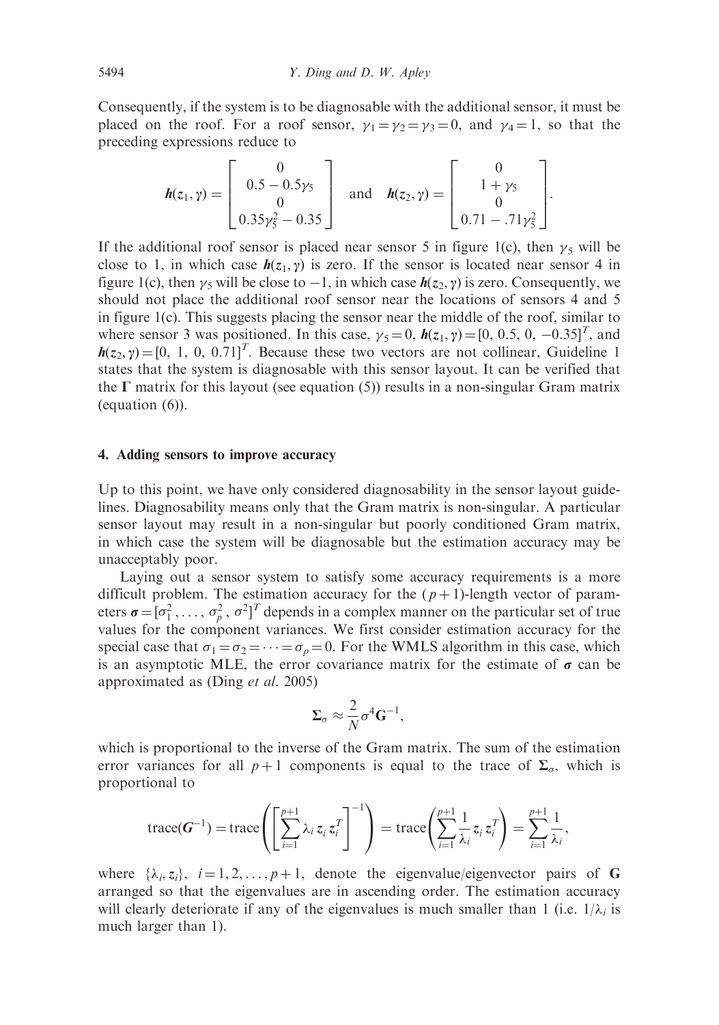Consequently, if the system is to be diagnosable with the additional sensor, it must be placed on the roof. For a roof sensor,  $\gamma_1 = \gamma_2 = \gamma_3 = 0$ , and  $\gamma_4 = 1$ , so that the preceding expressions reduce to

$$
\mathbf{h}(z_1,\gamma)=\begin{bmatrix}0\\0.5-0.5\gamma_5\\0\\0.35\gamma_5^2-0.35\end{bmatrix}\text{ and }\mathbf{h}(z_2,\gamma)=\begin{bmatrix}0\\1+\gamma_5\\0\\0.71-.71\gamma_5^2\end{bmatrix}.
$$

If the additional roof sensor is placed near sensor 5 in figure 1(c), then  $\gamma_5$  will be close to 1, in which case  $h(z_1, \gamma)$  is zero. If the sensor is located near sensor 4 in figure 1(c), then  $\gamma_5$  will be close to  $-1$ , in which case  $h(z_2, \gamma)$  is zero. Consequently, we should not place the additional roof sensor near the locations of sensors 4 and 5 in figure 1(c). This suggests placing the sensor near the middle of the roof, similar to where sensor 3 was positioned. In this case,  $\gamma_5 = 0$ ,  $h(z_1, \gamma) = [0, 0.5, 0, -0.35]^T$ , and  $h(z_2, \gamma) = [0, 1, 0, 0.71]^T$ . Because these two vectors are not collinear, Guideline 1 states that the system is diagnosable with this sensor layout. It can be verified that the  $\Gamma$  matrix for this layout (see equation (5)) results in a non-singular Gram matrix (equation (6)).

## 4. Adding sensors to improve accuracy

Up to this point, we have only considered diagnosability in the sensor layout guidelines. Diagnosability means only that the Gram matrix is non-singular. A particular sensor layout may result in a non-singular but poorly conditioned Gram matrix, in which case the system will be diagnosable but the estimation accuracy may be unacceptably poor.

Laying out a sensor system to satisfy some accuracy requirements is a more difficult problem. The estimation accuracy for the  $(p+1)$ -length vector of parameters  $\boldsymbol{\sigma} = [\sigma_1^2, \dots, \sigma_p^2, \sigma^2]^T$  depends in a complex manner on the particular set of true values for the component variances. We first consider estimation accuracy for the special case that  $\sigma_1 = \sigma_2 = \cdots = \sigma_p = 0$ . For the WMLS algorithm in this case, which is an asymptotic MLE, the error covariance matrix for the estimate of  $\sigma$  can be approximated as (Ding et al. 2005)

$$
\Sigma_{\sigma} \approx \frac{2}{N} \sigma^4 \mathbf{G}^{-1},
$$

which is proportional to the inverse of the Gram matrix. The sum of the estimation error variances for all  $p+1$  components is equal to the trace of  $\Sigma_{\sigma}$ , which is proportional to

$$
\operatorname{trace}(\boldsymbol{G}^{-1}) = \operatorname{trace}\left(\left[\sum_{i=1}^{p+1} \lambda_i \, z_i \, z_i^T\right]^{-1}\right) = \operatorname{trace}\left(\sum_{i=1}^{p+1} \frac{1}{\lambda_i} \, z_i \, z_i^T\right) = \sum_{i=1}^{p+1} \frac{1}{\lambda_i},
$$

where  $\{\lambda_i, z_i\}$ ,  $i = 1, 2, \dots, p + 1$ , denote the eigenvalue/eigenvector pairs of G arranged so that the eigenvalues are in ascending order. The estimation accuracy will clearly deteriorate if any of the eigenvalues is much smaller than 1 (i.e.  $1/\lambda_i$  is much larger than 1).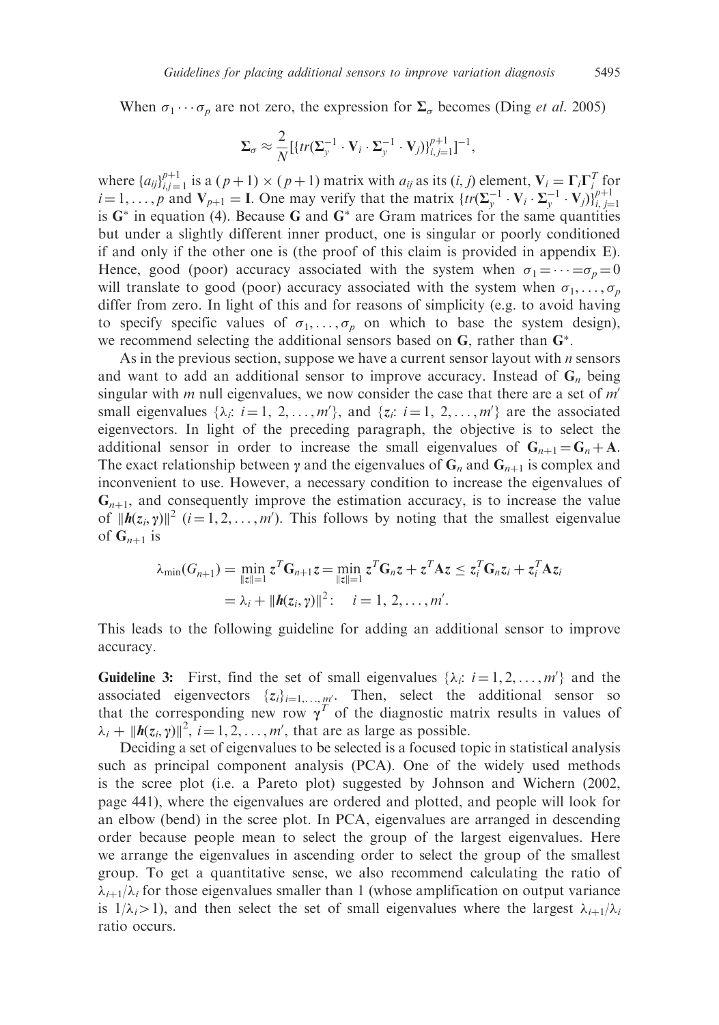When  $\sigma_1 \cdots \sigma_p$  are not zero, the expression for  $\Sigma_\sigma$  becomes (Ding *et al.* 2005)

$$
\Sigma_{\sigma} \approx \frac{2}{N} \left[ \{ tr(\Sigma_{y}^{-1} \cdot \mathbf{V}_{i} \cdot \Sigma_{y}^{-1} \cdot \mathbf{V}_{j}) \}_{i,j=1}^{p+1} \right]^{-1},
$$

where  $\{a_{ij}\}_{i,j=1}^{p+1}$  is a  $(p+1) \times (p+1)$  matrix with  $a_{ij}$  as its  $(i, j)$  element,  $V_i = \Gamma_i \Gamma_i^T$  for  $i = 1, \ldots, p$  and  $V_{p+1} = I$ . One may verify that the matrix  $\{tr(\Sigma_y^{-1} \cdot V_i \cdot \Sigma_y^{-1} \cdot V_j)\}_{i,j=1}^{p+1}$ is  $G^*$  in equation (4). Because G and  $G^*$  are Gram matrices for the same quantities but under a slightly different inner product, one is singular or poorly conditioned if and only if the other one is (the proof of this claim is provided in appendix E). Hence, good (poor) accuracy associated with the system when  $\sigma_1 = \cdots = \sigma_p = 0$ will translate to good (poor) accuracy associated with the system when  $\sigma_1, \ldots, \sigma_p$ differ from zero. In light of this and for reasons of simplicity (e.g. to avoid having to specify specific values of  $\sigma_1, \ldots, \sigma_n$  on which to base the system design), we recommend selecting the additional sensors based on  $G$ , rather than  $G^*$ .

As in the previous section, suppose we have a current sensor layout with  $n$  sensors and want to add an additional sensor to improve accuracy. Instead of  $G_n$  being singular with  $m$  null eigenvalues, we now consider the case that there are a set of  $m'$ small eigenvalues  $\{\lambda_i: i = 1, 2, \ldots, m'\}$ , and  $\{\overline{z_i}: i = 1, 2, \ldots, m'\}$  are the associated eigenvectors. In light of the preceding paragraph, the objective is to select the additional sensor in order to increase the small eigenvalues of  $G_{n+1} = G_n + A$ . The exact relationship between  $\gamma$  and the eigenvalues of  $G_n$  and  $G_{n+1}$  is complex and inconvenient to use. However, a necessary condition to increase the eigenvalues of  $G_{n+1}$ , and consequently improve the estimation accuracy, is to increase the value of  $||h(z_i, \gamma)||^2$   $(i = 1, 2, ..., m')$ . This follows by noting that the smallest eigenvalue of  $G_{n+1}$  is

$$
\lambda_{\min}(G_{n+1}) = \min_{\|z\|=1} z^T \mathbf{G}_{n+1} z = \min_{\|z\|=1} z^T \mathbf{G}_n z + z^T \mathbf{A} z \le z_i^T \mathbf{G}_n z_i + z_i^T \mathbf{A} z_i
$$
  
=  $\lambda_i + ||\boldsymbol{h}(z_i, \gamma)||^2$ :  $i = 1, 2, ..., m'$ .

This leads to the following guideline for adding an additional sensor to improve accuracy.

**Guideline 3:** First, find the set of small eigenvalues  $\{\lambda_i: i = 1, 2, ..., m'\}$  and the associated eigenvectors  $\{z_i\}_{i=1,\dots,m'}$ . Then, select the additional sensor so that the corresponding new row  $\gamma^T$  of the diagnostic matrix results in values of  $\lambda_i + ||h(z_i, \gamma)||^2$ ,  $i = 1, 2, ..., m'$ , that are as large as possible.

Deciding a set of eigenvalues to be selected is a focused topic in statistical analysis such as principal component analysis (PCA). One of the widely used methods is the scree plot (i.e. a Pareto plot) suggested by Johnson and Wichern (2002, page 441), where the eigenvalues are ordered and plotted, and people will look for an elbow (bend) in the scree plot. In PCA, eigenvalues are arranged in descending order because people mean to select the group of the largest eigenvalues. Here we arrange the eigenvalues in ascending order to select the group of the smallest group. To get a quantitative sense, we also recommend calculating the ratio of  $\lambda_{i+1}/\lambda_i$  for those eigenvalues smaller than 1 (whose amplification on output variance is  $1/\lambda_i > 1$ ), and then select the set of small eigenvalues where the largest  $\lambda_{i+1}/\lambda_i$ ratio occurs.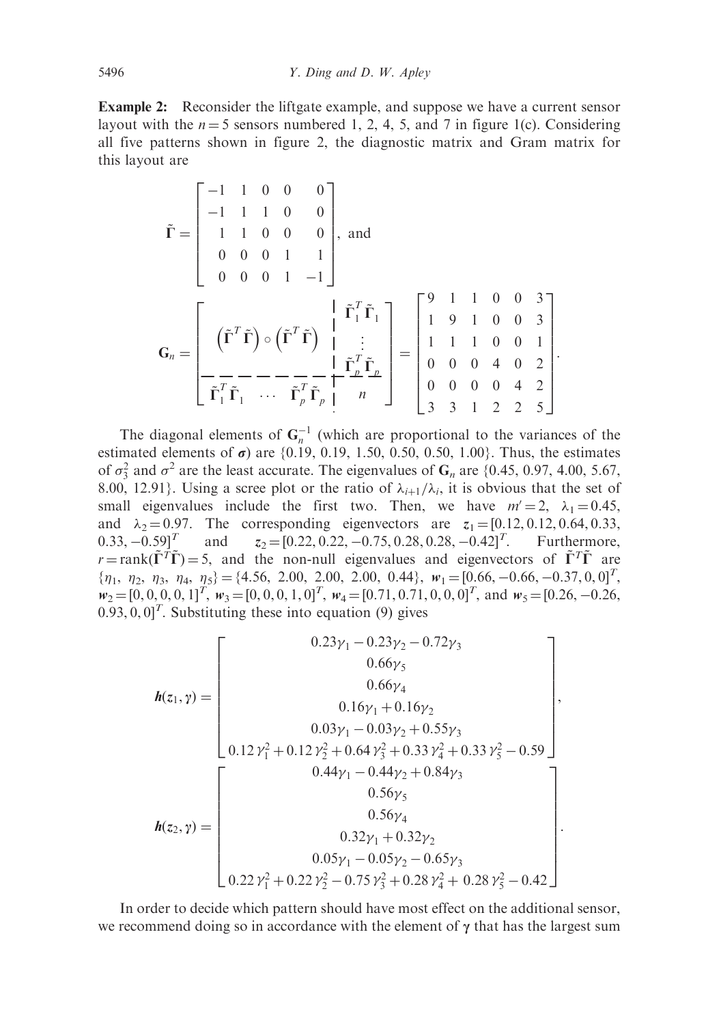**Example 2:** Reconsider the liftgate example, and suppose we have a current sensor layout with the  $n = 5$  sensors numbered 1, 2, 4, 5, and 7 in figure 1(c). Considering all five patterns shown in figure 2, the diagnostic matrix and Gram matrix for this layout are

$$
\tilde{\mathbf{\Gamma}} = \begin{bmatrix}\n-1 & 1 & 0 & 0 & 0 \\
-1 & 1 & 1 & 0 & 0 \\
1 & 1 & 0 & 0 & 0 \\
0 & 0 & 0 & 1 & 1 \\
0 & 0 & 0 & 1 & -1\n\end{bmatrix}, \text{ and}
$$
\n
$$
\mathbf{G}_n = \begin{bmatrix}\n(\tilde{\mathbf{\Gamma}}^T \tilde{\mathbf{\Gamma}}) \circ (\tilde{\mathbf{\Gamma}}^T \tilde{\mathbf{\Gamma}}) & \frac{1}{2} \\
(\tilde{\mathbf{\Gamma}}^T \tilde{\mathbf{\Gamma}}) \circ (\tilde{\mathbf{\Gamma}}^T \tilde{\mathbf{\Gamma}}) & \frac{1}{2} \\
-\frac{1}{2} & -1 & -1 \\
-\frac{1}{2} & \frac{1}{2} & \frac{1}{2}\frac{1}{2}\frac{1}{2}\n\end{bmatrix} = \begin{bmatrix}\n9 & 1 & 1 & 0 & 0 & 3 \\
1 & 9 & 1 & 0 & 0 & 3 \\
1 & 1 & 1 & 0 & 0 & 1 \\
0 & 0 & 0 & 4 & 0 & 2 \\
0 & 0 & 0 & 0 & 4 & 2 \\
3 & 3 & 1 & 2 & 2 & 5\n\end{bmatrix}.
$$

The diagonal elements of  $G_n^{-1}$  (which are proportional to the variances of the estimated elements of  $\sigma$ ) are {0.19, 0.19, 1.50, 0.50, 0.50, 1.00}. Thus, the estimates of  $\sigma_3^2$  and  $\sigma^2$  are the least accurate. The eigenvalues of  $G_n$  are {0.45, 0.97, 4.00, 5.67, 8.00, 12.91}. Using a scree plot or the ratio of  $\lambda_{i+1}/\lambda_i$ , it is obvious that the set of small eigenvalues include the first two. Then, we have  $m' = 2$ ,  $\lambda_1 = 0.45$ , and  $\lambda_2 = 0.97$ . The corresponding eigenvectors are  $z_1 = [0.12, 0.12, 0.64, 0.33,$  $0.33, -0.59$ <sup>T</sup> and 0.59]<sup>T</sup> and  $z_2 = [0.22, 0.22, -0.75, 0.28, 0.28, -0.42]$ <sup>T</sup>. Furthermore,  $r = \text{rank}(\tilde{\Gamma}^T \tilde{\Gamma}) = 5$ , and the non-null eigenvalues and eigenvectors of  $\tilde{\Gamma}^T \tilde{\Gamma}$  are  ${\eta_1, \eta_2, \eta_3, \eta_4, \eta_5} = {4.56, 2.00, 2.00, 2.00, 0.44}, w_1 = [0.66, -0.66, -0.37, 0, 0]^T$  $w_2 = [0, 0, 0, 0, 1]^T$ ,  $w_3 = [0, 0, 0, 1, 0]^T$ ,  $w_4 = [0.71, 0.71, 0, 0, 0]^T$ , and  $w_5 = [0.26, -0.26,$  $(0.93, 0, 0)^T$ . Substituting these into equation (9) gives

$$
\boldsymbol{h}(z_1, \gamma) = \begin{bmatrix}\n0.23\gamma_1 - 0.23\gamma_2 - 0.72\gamma_3 \\
0.66\gamma_5 \\
0.66\gamma_4 \\
0.16\gamma_1 + 0.16\gamma_2 \\
0.03\gamma_1 - 0.03\gamma_2 + 0.55\gamma_3 \\
0.12\gamma_1^2 + 0.12\gamma_2^2 + 0.64\gamma_3^2 + 0.33\gamma_4^2 + 0.33\gamma_5^2 - 0.59\n\end{bmatrix},
$$
\n
$$
\boldsymbol{h}(z_2, \gamma) = \begin{bmatrix}\n0.44\gamma_1 - 0.44\gamma_2 + 0.84\gamma_3 \\
0.56\gamma_5 \\
0.56\gamma_4 \\
0.32\gamma_1 + 0.32\gamma_2 \\
0.05\gamma_1 - 0.05\gamma_2 - 0.65\gamma_3 \\
0.22\gamma_1^2 + 0.22\gamma_2^2 - 0.75\gamma_3^2 + 0.28\gamma_4^2 + 0.28\gamma_5^2 - 0.42\n\end{bmatrix}.
$$

In order to decide which pattern should have most effect on the additional sensor, we recommend doing so in accordance with the element of  $\gamma$  that has the largest sum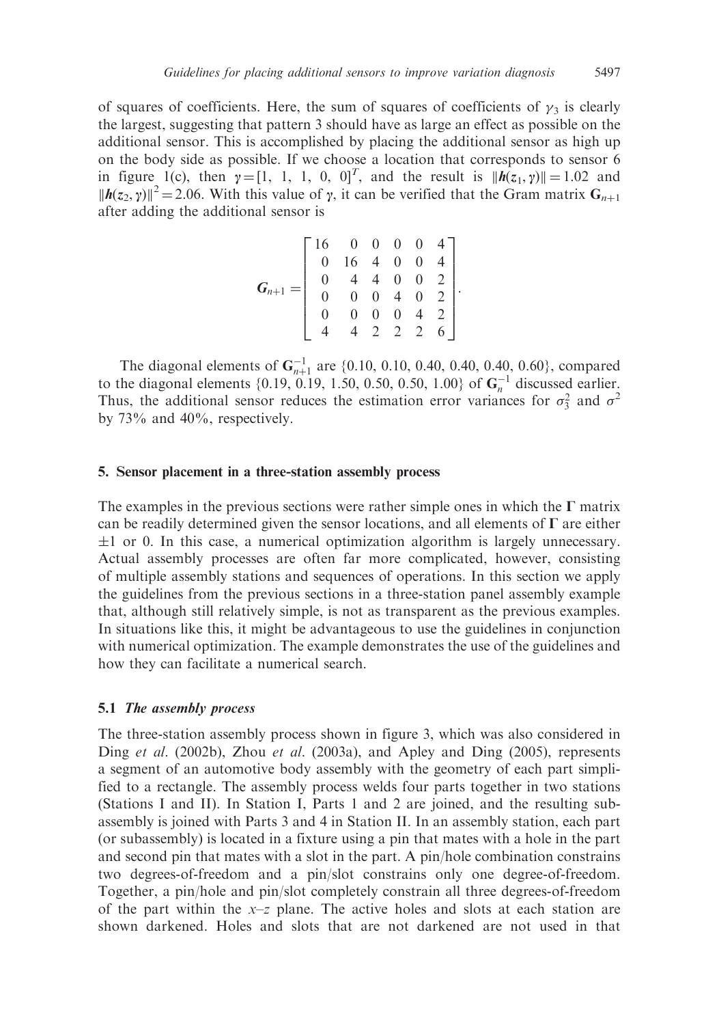of squares of coefficients. Here, the sum of squares of coefficients of  $\gamma_3$  is clearly the largest, suggesting that pattern 3 should have as large an effect as possible on the additional sensor. This is accomplished by placing the additional sensor as high up on the body side as possible. If we choose a location that corresponds to sensor 6 in figure 1(c), then  $\gamma = [1, 1, 1, 0, 0]^T$ , and the result is  $||h(z_1, \gamma)|| = 1.02$  and  $||h(z_2, \gamma)||^2 = 2.06$ . With this value of  $\gamma$ , it can be verified that the Gram matrix  $G_{n+1}$ after adding the additional sensor is

$$
\boldsymbol{G}_{n+1} = \left[ \begin{array}{ccccccc} 16 & 0 & 0 & 0 & 0 & 4 \\ 0 & 16 & 4 & 0 & 0 & 4 \\ 0 & 4 & 4 & 0 & 0 & 2 \\ 0 & 0 & 0 & 4 & 0 & 2 \\ 0 & 0 & 0 & 0 & 4 & 2 \\ 4 & 4 & 2 & 2 & 2 & 6 \end{array} \right].
$$

The diagonal elements of  $G_{n+1}^{-1}$  are {0.10, 0.10, 0.40, 0.40, 0.40, 0.60}, compared to the diagonal elements  $\{0.19, 0.19, 1.50, 0.50, 0.50, 1.00\}$  of  $\mathbf{G}_n^{-1}$  discussed earlier. Thus, the additional sensor reduces the estimation error variances for  $\sigma_3^2$  and  $\sigma^2$ by 73% and 40%, respectively.

## 5. Sensor placement in a three-station assembly process

The examples in the previous sections were rather simple ones in which the  $\Gamma$  matrix can be readily determined given the sensor locations, and all elements of  $\Gamma$  are either  $\pm 1$  or 0. In this case, a numerical optimization algorithm is largely unnecessary. Actual assembly processes are often far more complicated, however, consisting of multiple assembly stations and sequences of operations. In this section we apply the guidelines from the previous sections in a three-station panel assembly example that, although still relatively simple, is not as transparent as the previous examples. In situations like this, it might be advantageous to use the guidelines in conjunction with numerical optimization. The example demonstrates the use of the guidelines and how they can facilitate a numerical search.

#### 5.1 The assembly process

The three-station assembly process shown in figure 3, which was also considered in Ding et al. (2002b), Zhou et al. (2003a), and Apley and Ding (2005), represents a segment of an automotive body assembly with the geometry of each part simplified to a rectangle. The assembly process welds four parts together in two stations (Stations I and II). In Station I, Parts 1 and 2 are joined, and the resulting subassembly is joined with Parts 3 and 4 in Station II. In an assembly station, each part (or subassembly) is located in a fixture using a pin that mates with a hole in the part and second pin that mates with a slot in the part. A pin/hole combination constrains two degrees-of-freedom and a pin/slot constrains only one degree-of-freedom. Together, a pin/hole and pin/slot completely constrain all three degrees-of-freedom of the part within the  $x-z$  plane. The active holes and slots at each station are shown darkened. Holes and slots that are not darkened are not used in that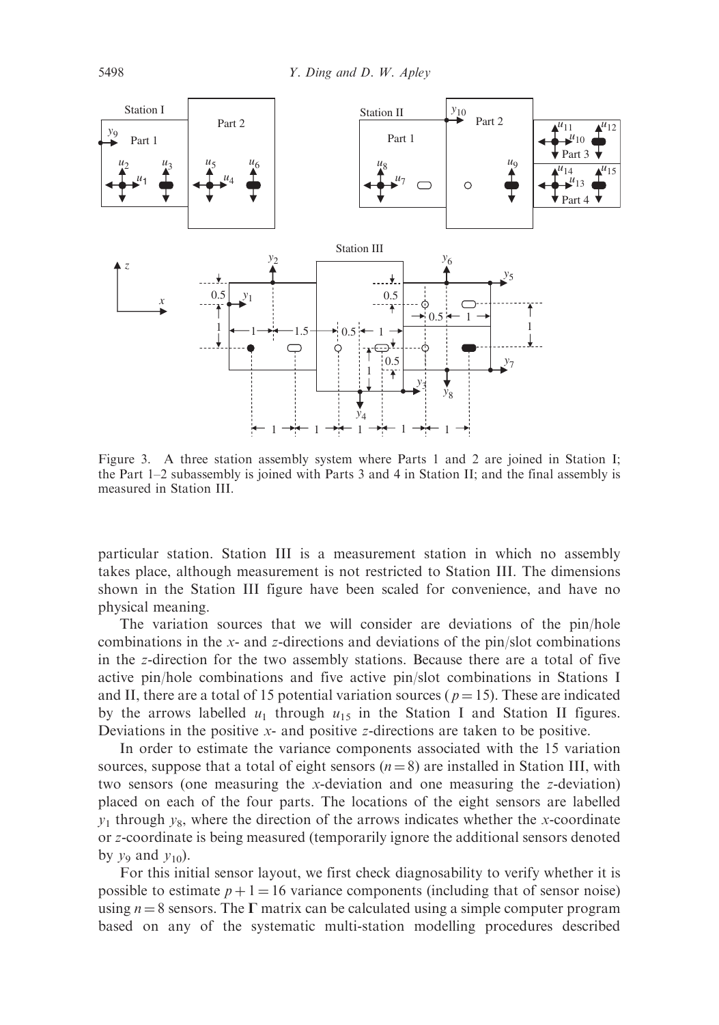

Figure 3. A three station assembly system where Parts 1 and 2 are joined in Station I; the Part 1–2 subassembly is joined with Parts 3 and 4 in Station II; and the final assembly is measured in Station III.

particular station. Station III is a measurement station in which no assembly takes place, although measurement is not restricted to Station III. The dimensions shown in the Station III figure have been scaled for convenience, and have no physical meaning.

The variation sources that we will consider are deviations of the pin/hole combinations in the x- and z-directions and deviations of the pin/slot combinations in the z-direction for the two assembly stations. Because there are a total of five active pin/hole combinations and five active pin/slot combinations in Stations I and II, there are a total of 15 potential variation sources ( $p = 15$ ). These are indicated by the arrows labelled  $u_1$  through  $u_1$ <sub>5</sub> in the Station I and Station II figures. Deviations in the positive x- and positive z-directions are taken to be positive.

In order to estimate the variance components associated with the 15 variation sources, suppose that a total of eight sensors  $(n = 8)$  are installed in Station III, with two sensors (one measuring the x-deviation and one measuring the z-deviation) placed on each of the four parts. The locations of the eight sensors are labelled  $y_1$  through  $y_8$ , where the direction of the arrows indicates whether the x-coordinate or z-coordinate is being measured (temporarily ignore the additional sensors denoted by  $v_9$  and  $v_{10}$ ).

For this initial sensor layout, we first check diagnosability to verify whether it is possible to estimate  $p + 1 = 16$  variance components (including that of sensor noise) using  $n = 8$  sensors. The  $\Gamma$  matrix can be calculated using a simple computer program based on any of the systematic multi-station modelling procedures described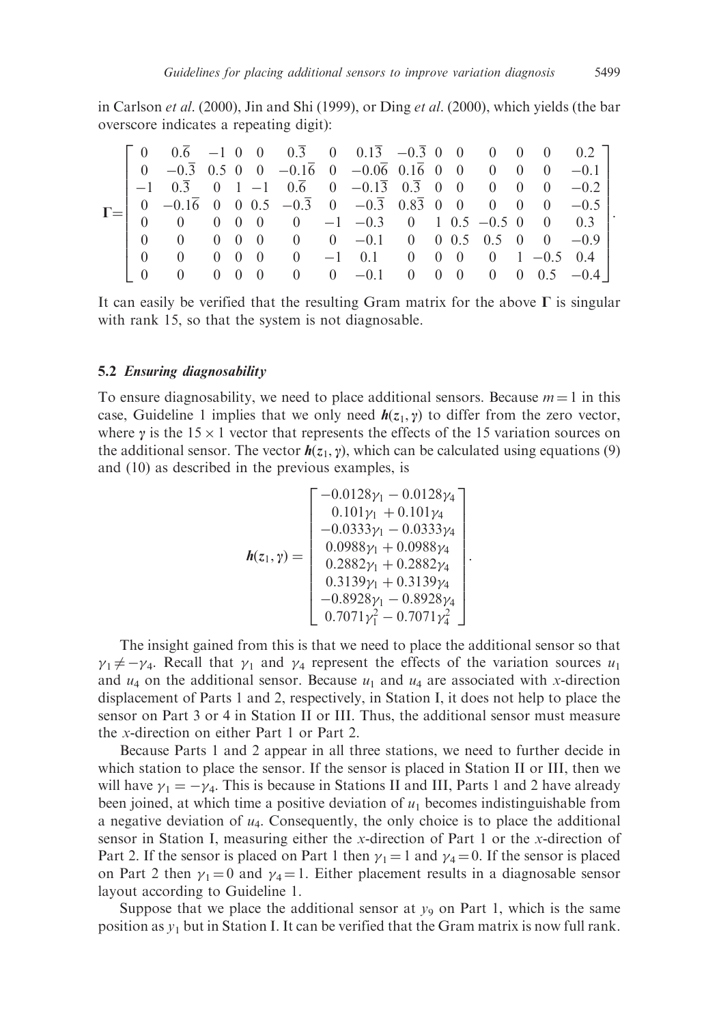in Carlson *et al.* (2000), Jin and Shi (1999), or Ding *et al.* (2000), which yields (the bar overscore indicates a repeating digit):

|  |          |                                      |                   |  |  | $\begin{bmatrix} 0 & 0.\overline{6} & -1 & 0 & 0 & 0.\overline{3} & 0 & 0.1\overline{3} & -0.\overline{3} & 0 & 0 & 0 & 0 & 0 & 0.2 \end{bmatrix}$<br>$\begin{bmatrix} 0 & -0.\overline{3} & 0.5 & 0 & 0 & -0.1\overline{6} & 0 & -0.0\overline{6} & 0.1\overline{6} & 0 & 0 & 0 & 0 & 0 & -0.1 \end{bmatrix}$<br>$-1$ 0.3 0 1 -1 0.6 0 -0.13 0.3 0 0 0 0 0 -0.2<br>$0 \quad -0.16 \quad 0 \quad 0.5 \quad -0.3 \quad 0 \quad -0.3 \quad 0.83 \quad 0 \quad 0 \quad 0 \quad 0 \quad 0 \quad -0.5$<br>$0 \t 0 \t 0 \t 0 \t 0 \t 0 \t -1 \t -0.3 \t 0 \t 1 \t 0.5 \t -0.5 \t 0 \t 0 \t 0.3$ |  |  |  |  |
|--|----------|--------------------------------------|-------------------|--|--|-------------------------------------------------------------------------------------------------------------------------------------------------------------------------------------------------------------------------------------------------------------------------------------------------------------------------------------------------------------------------------------------------------------------------------------------------------------------------------------------------------------------------------------------------------------------------------------------|--|--|--|--|
|  | $\Omega$ | $0 \t 0 \t 0 \t 0$<br>$\overline{0}$ | $0\quad 0\quad 0$ |  |  | 0 0 0 0 0 0 -0.1 0 0 0.5 0.5 0 0 -0.9<br>$0 \t -1 \t 0.1 \t 0 \t 0 \t 0 \t 1 \t -0.5 \t 0.4$<br>$0 \t 0 \t -0.1 \t 0 \t 0 \t 0 \t 0 \t 0.5 \t -0.4$                                                                                                                                                                                                                                                                                                                                                                                                                                       |  |  |  |  |

It can easily be verified that the resulting Gram matrix for the above  $\Gamma$  is singular with rank 15, so that the system is not diagnosable.

#### 5.2 Ensuring diagnosability

To ensure diagnosability, we need to place additional sensors. Because  $m = 1$  in this case, Guideline 1 implies that we only need  $h(z_1, y)$  to differ from the zero vector, where  $\gamma$  is the 15  $\times$  1 vector that represents the effects of the 15 variation sources on the additional sensor. The vector  $h(z_1, y)$ , which can be calculated using equations (9) and (10) as described in the previous examples, is

$$
\mathbf{h}(z_1, \gamma) = \begin{bmatrix} -0.0128\gamma_1 - 0.0128\gamma_4 \\ 0.101\gamma_1 + 0.101\gamma_4 \\ -0.0333\gamma_1 - 0.0333\gamma_4 \\ 0.0988\gamma_1 + 0.0988\gamma_4 \\ 0.2882\gamma_1 + 0.2882\gamma_4 \\ 0.3139\gamma_1 + 0.3139\gamma_4 \\ -0.8928\gamma_1 - 0.8928\gamma_4 \\ 0.7071\gamma_1^2 - 0.7071\gamma_4^2 \end{bmatrix}.
$$

The insight gained from this is that we need to place the additional sensor so that  $\gamma_1 \neq -\gamma_4$ . Recall that  $\gamma_1$  and  $\gamma_4$  represent the effects of the variation sources  $u_1$ and  $u_4$  on the additional sensor. Because  $u_1$  and  $u_4$  are associated with x-direction displacement of Parts 1 and 2, respectively, in Station I, it does not help to place the sensor on Part 3 or 4 in Station II or III. Thus, the additional sensor must measure the x-direction on either Part 1 or Part 2.

Because Parts 1 and 2 appear in all three stations, we need to further decide in which station to place the sensor. If the sensor is placed in Station II or III, then we will have  $\gamma_1 = -\gamma_4$ . This is because in Stations II and III, Parts 1 and 2 have already been joined, at which time a positive deviation of  $u_1$  becomes indistinguishable from a negative deviation of  $u_4$ . Consequently, the only choice is to place the additional sensor in Station I, measuring either the x-direction of Part 1 or the x-direction of Part 2. If the sensor is placed on Part 1 then  $\gamma_1 = 1$  and  $\gamma_4 = 0$ . If the sensor is placed on Part 2 then  $\gamma_1 = 0$  and  $\gamma_4 = 1$ . Either placement results in a diagnosable sensor layout according to Guideline 1.

Suppose that we place the additional sensor at  $y_9$  on Part 1, which is the same position as  $y_1$  but in Station I. It can be verified that the Gram matrix is now full rank.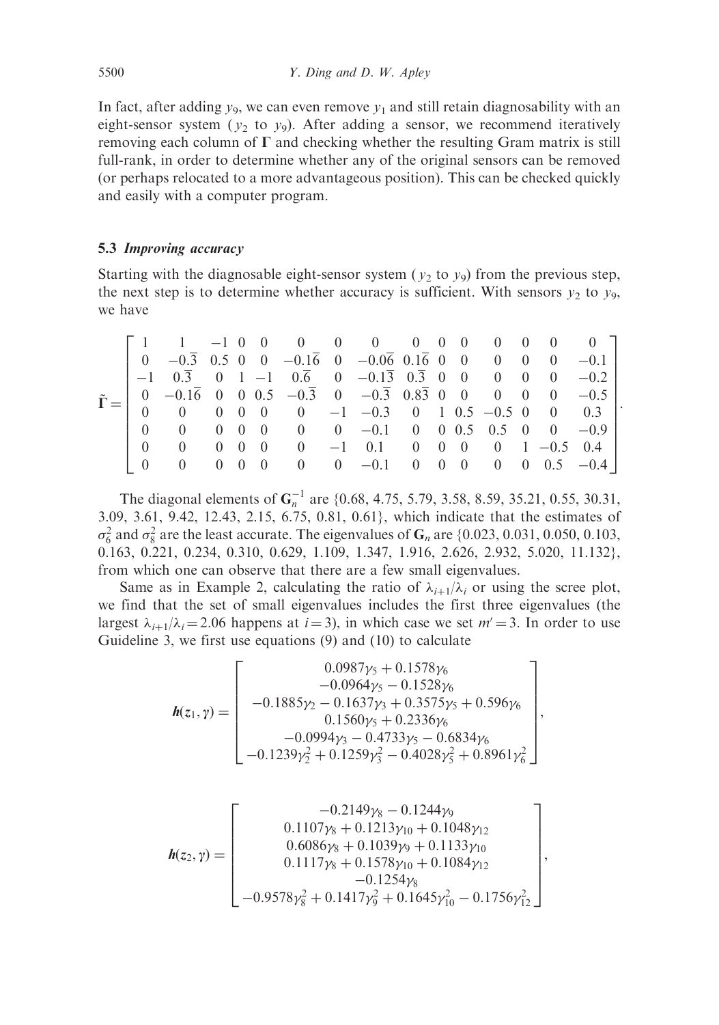In fact, after adding  $y_9$ , we can even remove  $y_1$  and still retain diagnosability with an eight-sensor system ( $y_2$  to  $y_9$ ). After adding a sensor, we recommend iteratively removing each column of  $\Gamma$  and checking whether the resulting Gram matrix is still full-rank, in order to determine whether any of the original sensors can be removed (or perhaps relocated to a more advantageous position). This can be checked quickly and easily with a computer program.

## 5.3 Improving accuracy

Starting with the diagnosable eight-sensor system ( $v_2$  to  $v_9$ ) from the previous step, the next step is to determine whether accuracy is sufficient. With sensors  $y_2$  to  $y_9$ , we have

$$
\tilde{\Gamma} = \left[\begin{array}{cccccccccccc} 1 & 1 & -1 & 0 & 0 & 0 & 0 & 0 & 0 & 0 & 0 & 0 & 0 & 0 & 0 \\ 0 & -0.\overline{3} & 0.5 & 0 & 0 & -0.1\overline{6} & 0 & -0.0\overline{6} & 0.1\overline{6} & 0 & 0 & 0 & 0 & 0 & -0.1 \\ -1 & 0.\overline{3} & 0 & 1 & -1 & 0.\overline{6} & 0 & -0.1\overline{3} & 0.\overline{3} & 0 & 0 & 0 & 0 & 0 & -0.2 \\ 0 & -0.1\overline{6} & 0 & 0 & 0.5 & -0.\overline{3} & 0 & -0.\overline{3} & 0.8\overline{3} & 0 & 0 & 0 & 0 & 0 & -0.5 \\ 0 & 0 & 0 & 0 & 0 & 0 & -1 & -0.3 & 0 & 1 & 0.5 & -0.5 & 0 & 0 & 0.3 \\ 0 & 0 & 0 & 0 & 0 & 0 & 0 & -0.1 & 0 & 0 & 0.5 & 0.5 & 0 & 0 & -0.9 \\ 0 & 0 & 0 & 0 & 0 & 0 & -1 & 0.1 & 0 & 0 & 0 & 0 & 1 & -0.5 & 0.4 \\ 0 & 0 & 0 & 0 & 0 & 0 & 0 & -0.1 & 0 & 0 & 0 & 0 & 0.5 & -0.4 \end{array}\right].
$$

The diagonal elements of  $G_n^{-1}$  are {0.68, 4.75, 5.79, 3.58, 8.59, 35.21, 0.55, 30.31, 3.09, 3.61, 9.42, 12.43, 2.15, 6.75, 0.81, 0.61}, which indicate that the estimates of  $\sigma_6^2$  and  $\sigma_8^2$  are the least accurate. The eigenvalues of  $G_n$  are {0.023, 0.031, 0.050, 0.103, 0.163, 0.221, 0.234, 0.310, 0.629, 1.109, 1.347, 1.916, 2.626, 2.932, 5.020, 11.132}, from which one can observe that there are a few small eigenvalues.

Same as in Example 2, calculating the ratio of  $\lambda_{i+1}/\lambda_i$  or using the scree plot, we find that the set of small eigenvalues includes the first three eigenvalues (the largest  $\lambda_{i+1}/\lambda_i = 2.06$  happens at  $i = 3$ ), in which case we set  $m' = 3$ . In order to use Guideline 3, we first use equations (9) and (10) to calculate

$$
\boldsymbol{h}(z_1, \gamma) = \begin{bmatrix} 0.0987\gamma_5 + 0.1578\gamma_6 \\ -0.0964\gamma_5 - 0.1528\gamma_6 \\ -0.1885\gamma_2 - 0.1637\gamma_3 + 0.3575\gamma_5 + 0.596\gamma_6 \\ 0.1560\gamma_5 + 0.2336\gamma_6 \\ -0.0994\gamma_3 - 0.4733\gamma_5 - 0.6834\gamma_6 \\ -0.1239\gamma_2^2 + 0.1259\gamma_3^2 - 0.4028\gamma_5^2 + 0.8961\gamma_6^2 \end{bmatrix}
$$

,

,

$$
\boldsymbol{h}(z_2, \gamma) = \begin{bmatrix} -0.2149\gamma_8 - 0.1244\gamma_9 \\ 0.1107\gamma_8 + 0.1213\gamma_{10} + 0.1048\gamma_{12} \\ 0.6086\gamma_8 + 0.1039\gamma_9 + 0.1133\gamma_{10} \\ 0.1117\gamma_8 + 0.1578\gamma_{10} + 0.1084\gamma_{12} \\ -0.1254\gamma_8 \\ -0.1254\gamma_8 \end{bmatrix}
$$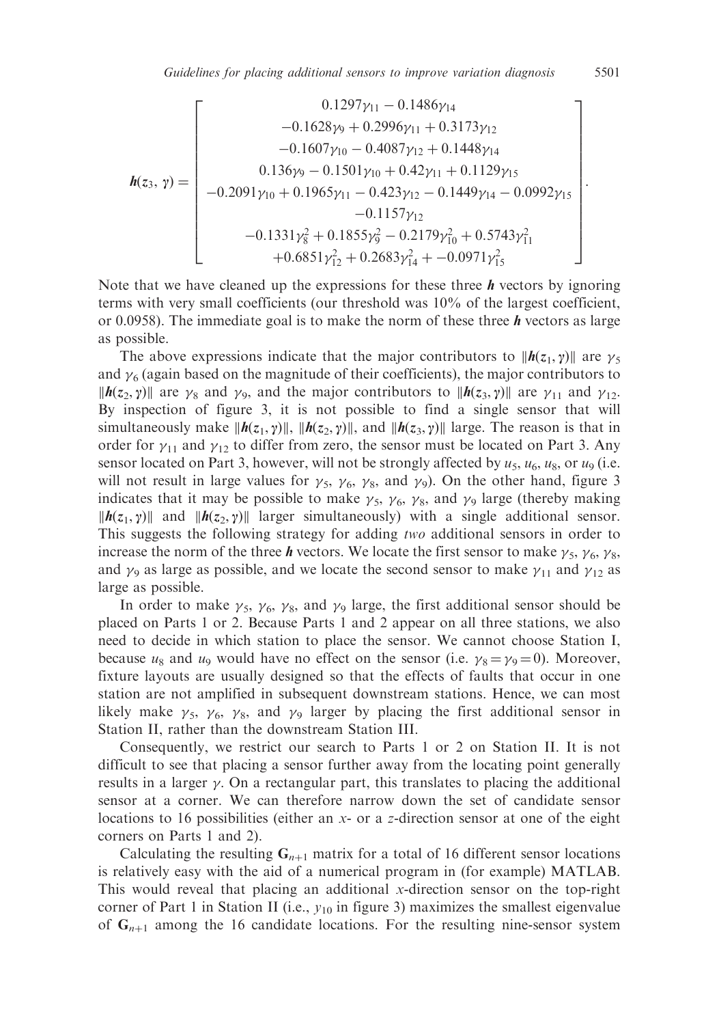$$
\boldsymbol{h}(z_3, \gamma) = \begin{bmatrix} 0.1297\gamma_{11} - 0.1486\gamma_{14} \\ -0.1628\gamma_9 + 0.2996\gamma_{11} + 0.3173\gamma_{12} \\ -0.1607\gamma_{10} - 0.4087\gamma_{12} + 0.1448\gamma_{14} \\ 0.136\gamma_9 - 0.1501\gamma_{10} + 0.42\gamma_{11} + 0.1129\gamma_{15} \\ -0.2091\gamma_{10} + 0.1965\gamma_{11} - 0.423\gamma_{12} - 0.1449\gamma_{14} - 0.0992\gamma_{15} \\ -0.1157\gamma_{12} \\ -0.1331\gamma_8^2 + 0.1855\gamma_9^2 - 0.2179\gamma_{10}^2 + 0.5743\gamma_{11}^2 \\ +0.6851\gamma_{12}^2 + 0.2683\gamma_{14}^2 + -0.0971\gamma_{15}^2 \end{bmatrix}.
$$

Note that we have cleaned up the expressions for these three  **vectors by ignoring** terms with very small coefficients (our threshold was 10% of the largest coefficient, or 0.0958). The immediate goal is to make the norm of these three  $\boldsymbol{h}$  vectors as large as possible.

The above expressions indicate that the major contributors to  $||h(z_1, \gamma)||$  are  $\gamma_5$ and  $\gamma_6$  (again based on the magnitude of their coefficients), the major contributors to  $\|\boldsymbol{h}(z_2, \gamma)\|$  are  $\gamma_8$  and  $\gamma_9$ , and the major contributors to  $\|\boldsymbol{h}(z_3, \gamma)\|$  are  $\gamma_{11}$  and  $\gamma_{12}$ . By inspection of figure 3, it is not possible to find a single sensor that will simultaneously make  $\|\boldsymbol{h}(z_1, \gamma)\|$ ,  $\|\boldsymbol{h}(z_2, \gamma)\|$ , and  $\|\boldsymbol{h}(z_3, \gamma)\|$  large. The reason is that in order for  $\gamma_{11}$  and  $\gamma_{12}$  to differ from zero, the sensor must be located on Part 3. Any sensor located on Part 3, however, will not be strongly affected by  $u_5$ ,  $u_6$ ,  $u_8$ , or  $u_9$  (i.e. will not result in large values for  $\gamma_5$ ,  $\gamma_6$ ,  $\gamma_8$ , and  $\gamma_9$ ). On the other hand, figure 3 indicates that it may be possible to make  $\gamma_5$ ,  $\gamma_6$ ,  $\gamma_8$ , and  $\gamma_9$  large (thereby making  $||h(z_1, y)||$  and  $||h(z_2, y)||$  larger simultaneously) with a single additional sensor. This suggests the following strategy for adding two additional sensors in order to increase the norm of the three *h* vectors. We locate the first sensor to make  $\gamma_5$ ,  $\gamma_6$ ,  $\gamma_8$ , and  $\gamma_9$  as large as possible, and we locate the second sensor to make  $\gamma_{11}$  and  $\gamma_{12}$  as large as possible.

In order to make  $\gamma_5$ ,  $\gamma_6$ ,  $\gamma_8$ , and  $\gamma_9$  large, the first additional sensor should be placed on Parts 1 or 2. Because Parts 1 and 2 appear on all three stations, we also need to decide in which station to place the sensor. We cannot choose Station I, because  $u_8$  and  $u_9$  would have no effect on the sensor (i.e.  $\gamma_8 = \gamma_9 = 0$ ). Moreover, fixture layouts are usually designed so that the effects of faults that occur in one station are not amplified in subsequent downstream stations. Hence, we can most likely make  $\gamma_5$ ,  $\gamma_6$ ,  $\gamma_8$ , and  $\gamma_9$  larger by placing the first additional sensor in Station II, rather than the downstream Station III.

Consequently, we restrict our search to Parts 1 or 2 on Station II. It is not difficult to see that placing a sensor further away from the locating point generally results in a larger  $\gamma$ . On a rectangular part, this translates to placing the additional sensor at a corner. We can therefore narrow down the set of candidate sensor locations to 16 possibilities (either an x- or a z-direction sensor at one of the eight corners on Parts 1 and 2).

Calculating the resulting  $G_{n+1}$  matrix for a total of 16 different sensor locations is relatively easy with the aid of a numerical program in (for example) MATLAB. This would reveal that placing an additional x-direction sensor on the top-right corner of Part 1 in Station II (i.e.,  $y_{10}$  in figure 3) maximizes the smallest eigenvalue of  $G_{n+1}$  among the 16 candidate locations. For the resulting nine-sensor system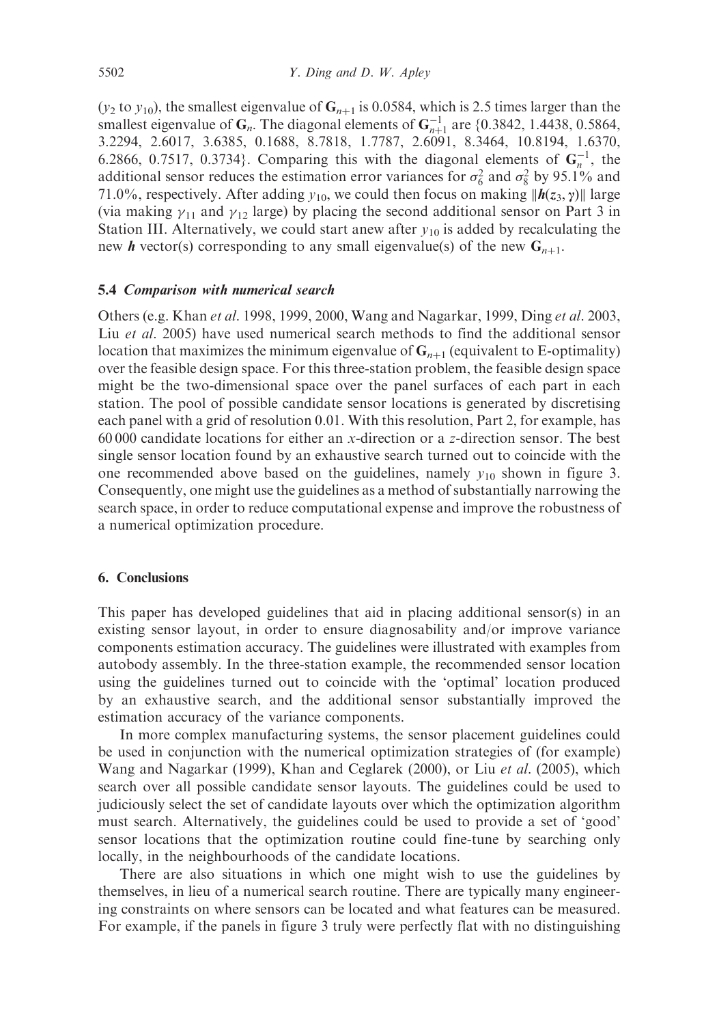(y<sub>2</sub> to y<sub>10</sub>), the smallest eigenvalue of  $G_{n+1}$  is 0.0584, which is 2.5 times larger than the smallest eigenvalue of  $G_n$ . The diagonal elements of  $G_{n+1}^{-1}$  are {0.3842, 1.4438, 0.5864, 3.2294, 2.6017, 3.6385, 0.1688, 8.7818, 1.7787, 2.6091, 8.3464, 10.8194, 1.6370, 6.2866, 0.7517, 0.3734}. Comparing this with the diagonal elements of  $G_n^{-1}$ , the additional sensor reduces the estimation error variances for  $\sigma_6^2$  and  $\sigma_8^2$  by 95.1% and 71.0%, respectively. After adding  $y_{10}$ , we could then focus on making  $||h(z_3, y)||$  large (via making  $\gamma_{11}$  and  $\gamma_{12}$  large) by placing the second additional sensor on Part 3 in Station III. Alternatively, we could start anew after  $y_{10}$  is added by recalculating the new **h** vector(s) corresponding to any small eigenvalue(s) of the new  $G_{n+1}$ .

## 5.4 Comparison with numerical search

Others (e.g. Khan et al. 1998, 1999, 2000, Wang and Nagarkar, 1999, Ding et al. 2003, Liu et al. 2005) have used numerical search methods to find the additional sensor location that maximizes the minimum eigenvalue of  $G_{n+1}$  (equivalent to E-optimality) over the feasible design space. For this three-station problem, the feasible design space might be the two-dimensional space over the panel surfaces of each part in each station. The pool of possible candidate sensor locations is generated by discretising each panel with a grid of resolution 0.01. With this resolution, Part 2, for example, has 60 000 candidate locations for either an x-direction or a z-direction sensor. The best single sensor location found by an exhaustive search turned out to coincide with the one recommended above based on the guidelines, namely  $y_{10}$  shown in figure 3. Consequently, one might use the guidelines as a method of substantially narrowing the search space, in order to reduce computational expense and improve the robustness of a numerical optimization procedure.

## 6. Conclusions

This paper has developed guidelines that aid in placing additional sensor(s) in an existing sensor layout, in order to ensure diagnosability and/or improve variance components estimation accuracy. The guidelines were illustrated with examples from autobody assembly. In the three-station example, the recommended sensor location using the guidelines turned out to coincide with the 'optimal' location produced by an exhaustive search, and the additional sensor substantially improved the estimation accuracy of the variance components.

In more complex manufacturing systems, the sensor placement guidelines could be used in conjunction with the numerical optimization strategies of (for example) Wang and Nagarkar (1999), Khan and Ceglarek (2000), or Liu et al. (2005), which search over all possible candidate sensor layouts. The guidelines could be used to judiciously select the set of candidate layouts over which the optimization algorithm must search. Alternatively, the guidelines could be used to provide a set of 'good' sensor locations that the optimization routine could fine-tune by searching only locally, in the neighbourhoods of the candidate locations.

There are also situations in which one might wish to use the guidelines by themselves, in lieu of a numerical search routine. There are typically many engineering constraints on where sensors can be located and what features can be measured. For example, if the panels in figure 3 truly were perfectly flat with no distinguishing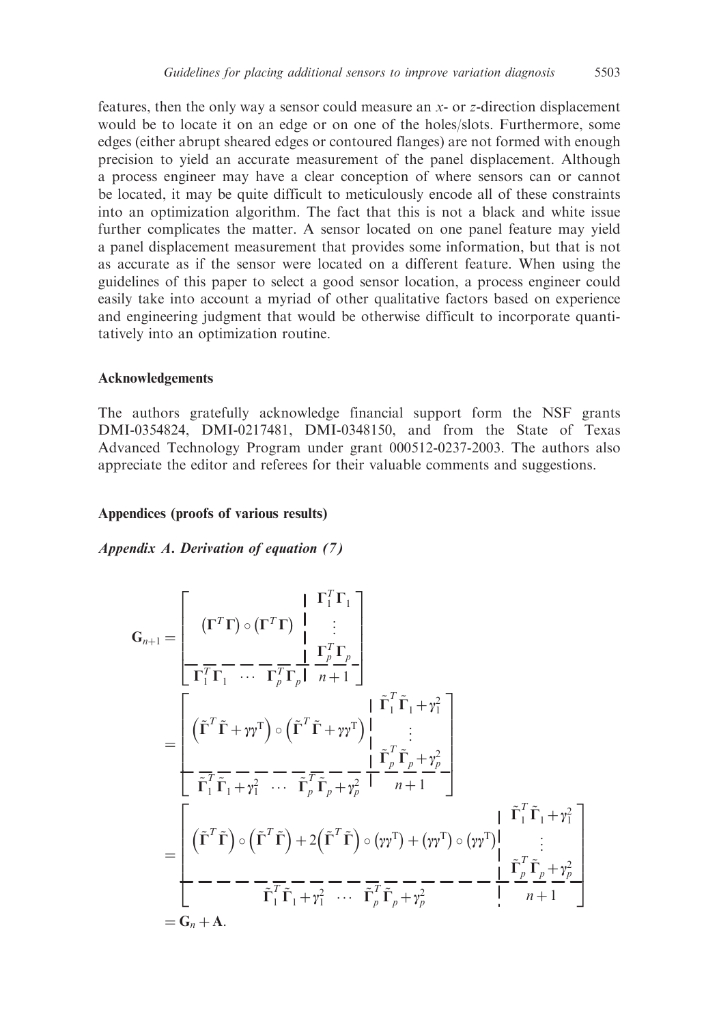features, then the only way a sensor could measure an  $x$ - or  $z$ -direction displacement would be to locate it on an edge or on one of the holes/slots. Furthermore, some edges (either abrupt sheared edges or contoured flanges) are not formed with enough precision to yield an accurate measurement of the panel displacement. Although a process engineer may have a clear conception of where sensors can or cannot be located, it may be quite difficult to meticulously encode all of these constraints into an optimization algorithm. The fact that this is not a black and white issue further complicates the matter. A sensor located on one panel feature may yield a panel displacement measurement that provides some information, but that is not as accurate as if the sensor were located on a different feature. When using the guidelines of this paper to select a good sensor location, a process engineer could easily take into account a myriad of other qualitative factors based on experience and engineering judgment that would be otherwise difficult to incorporate quantitatively into an optimization routine.

#### Acknowledgements

The authors gratefully acknowledge financial support form the NSF grants DMI-0354824, DMI-0217481, DMI-0348150, and from the State of Texas Advanced Technology Program under grant 000512-0237-2003. The authors also appreciate the editor and referees for their valuable comments and suggestions.

#### Appendices (proofs of various results)

Appendix A. Derivation of equation (7)

$$
G_{n+1} = \begin{bmatrix} \n\Gamma^T \Gamma \Gamma \end{bmatrix} \begin{bmatrix} \n\Gamma^T \Gamma \Gamma \end{bmatrix}
$$
\n
$$
G_{n+1} = \begin{bmatrix} \n\Gamma^T \Gamma \Gamma \end{bmatrix} \cdot \n\begin{bmatrix} \n\Gamma^T \Gamma \Gamma \end{bmatrix}
$$
\n
$$
= \begin{bmatrix} \n\Gamma^T \Gamma \Gamma \end{bmatrix} \cdot \n\begin{bmatrix} \n\Gamma^T \Gamma \end{bmatrix} \cdot \n\begin{bmatrix} \n\Gamma^T \Gamma \end{bmatrix} \cdot \n\begin{bmatrix} \n\Gamma^T \Gamma \end{bmatrix} \cdot \n\begin{bmatrix} \n\Gamma^T \end{bmatrix} \cdot \n\begin{bmatrix} \n\Gamma^T \end{bmatrix} \cdot \n\begin{bmatrix} \n\Gamma^T \end{bmatrix} \cdot \n\begin{bmatrix} \n\Gamma^T \end{bmatrix} \cdot \n\begin{bmatrix} \n\Gamma^T \end{bmatrix} \cdot \n\begin{bmatrix} \n\Gamma^T \end{bmatrix} \cdot \n\begin{bmatrix} \n\Gamma^T \end{bmatrix} \cdot \n\begin{bmatrix} \n\Gamma^T \end{bmatrix} \cdot \n\begin{bmatrix} \n\Gamma^T \end{bmatrix} \cdot \n\begin{bmatrix} \n\Gamma^T \end{bmatrix} \cdot \n\begin{bmatrix} \n\Gamma^T \end{bmatrix} \cdot \n\begin{bmatrix} \n\Gamma^T \end{bmatrix} \cdot \n\begin{bmatrix} \n\Gamma^T \end{bmatrix} \cdot \n\begin{bmatrix} \n\Gamma^T \end{bmatrix} \cdot \n\begin{bmatrix} \n\Gamma^T \end{bmatrix} \cdot \n\begin{bmatrix} \n\Gamma^T \end{bmatrix} \cdot \n\begin{bmatrix} \n\Gamma^T \end{bmatrix} \cdot \n\begin{bmatrix} \n\Gamma^T \end{bmatrix} \cdot \n\begin{bmatrix} \n\Gamma^T \end{bmatrix} \cdot \n\begin{bmatrix} \n\Gamma^T \end{bmatrix} \cdot \n\begin{bmatrix} \n\Gamma^T \end{bmatrix} \cdot \n\begin{bmatrix} \n\Gamma^T \end{bmatrix} \cdot \n\begin{bmatrix} \n\Gamma^T \end{bmatrix} \cdot \n\begin{bmatrix} \n\Gamma^T \end{bmatrix} \cdot \n\begin{bmatrix}
$$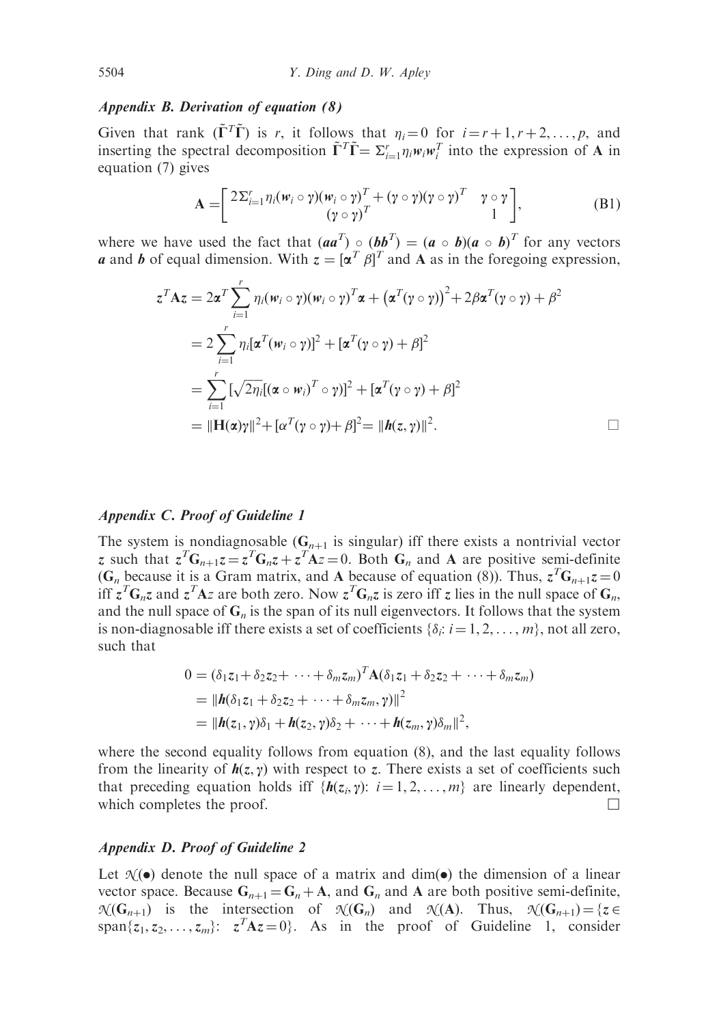#### Appendix B. Derivation of equation (8)

Given that rank  $(\tilde{\Gamma}^T \tilde{\Gamma})$  is r, it follows that  $\eta_i = 0$  for  $i = r + 1, r + 2, ..., p$ , and inserting the spectral decomposition  $\tilde{\Gamma}^T \tilde{\Gamma} = \sum_{i=1}^r \eta_i w_i w_i^T$  into the expression of A in equation (7) gives

$$
\mathbf{A} = \begin{bmatrix} 2\sum_{i=1}^{r} \eta_i (\mathbf{w}_i \circ \gamma)(\mathbf{w}_i \circ \gamma)^T + (\gamma \circ \gamma)(\gamma \circ \gamma)^T & \gamma \circ \gamma \\ (\gamma \circ \gamma)^T & 1 \end{bmatrix},
$$
(B1)

where we have used the fact that  $(aa^T) \circ (bb^T) = (a \circ b)(a \circ b)^T$  for any vectors a and b of equal dimension. With  $z = [\alpha^T \beta]^T$  and A as in the foregoing expression,

$$
z^T A z = 2\alpha^T \sum_{i=1}^r \eta_i(\mathbf{w}_i \circ \gamma)(\mathbf{w}_i \circ \gamma)^T \alpha + (\alpha^T (\gamma \circ \gamma))^2 + 2\beta \alpha^T (\gamma \circ \gamma) + \beta^2
$$
  
=  $2 \sum_{i=1}^r \eta_i [\alpha^T (\mathbf{w}_i \circ \gamma)]^2 + [\alpha^T (\gamma \circ \gamma) + \beta]^2$   
=  $\sum_{i=1}^r [\sqrt{2\eta_i} [(\alpha \circ \mathbf{w}_i)^T \circ \gamma)]^2 + [\alpha^T (\gamma \circ \gamma) + \beta]^2$   
=  $||\mathbf{H}(\alpha)\gamma||^2 + [\alpha^T (\gamma \circ \gamma) + \beta]^2 = ||\mathbf{h}(z, \gamma)||^2.$ 

## Appendix C. Proof of Guideline 1

The system is nondiagnosable  $(G_{n+1}$  is singular) iff there exists a nontrivial vector z such that  $z^T G_{n+1} z = z^T G_n z + z^T A z = 0$ . Both  $G_n$  and A are positive semi-definite (G<sub>n</sub> because it is a Gram matrix, and A because of equation (8)). Thus,  $z^T G_{n+1} z = 0$ iff  $z^T G_n z$  and  $z^T A z$  are both zero. Now  $z^T G_n z$  is zero iff z lies in the null space of  $G_n$ , and the null space of  $G_n$  is the span of its null eigenvectors. It follows that the system is non-diagnosable iff there exists a set of coefficients  $\{\delta_i: i = 1, 2, \ldots, m\}$ , not all zero, such that

$$
0 = (\delta_1 z_1 + \delta_2 z_2 + \cdots + \delta_m z_m)^T \mathbf{A} (\delta_1 z_1 + \delta_2 z_2 + \cdots + \delta_m z_m)
$$
  
=  $||\mathbf{h}(\delta_1 z_1 + \delta_2 z_2 + \cdots + \delta_m z_m, \gamma)||^2$   
=  $||\mathbf{h}(z_1, \gamma)\delta_1 + \mathbf{h}(z_2, \gamma)\delta_2 + \cdots + \mathbf{h}(z_m, \gamma)\delta_m||^2$ ,

where the second equality follows from equation (8), and the last equality follows from the linearity of  $h(z, \gamma)$  with respect to z. There exists a set of coefficients such that preceding equation holds iff  $\{h(z_i, \gamma): i = 1, 2, ..., m\}$  are linearly dependent, which completes the proof.  $\Box$ 

## Appendix D. Proof of Guideline 2

Let  $\mathcal{N}(\bullet)$  denote the null space of a matrix and dim( $\bullet$ ) the dimension of a linear vector space. Because  $G_{n+1} = G_n + A$ , and  $G_n$  and A are both positive semi-definite,  $\mathcal{N}(\mathbf{G}_{n+1})$  is the intersection of  $\mathcal{N}(\mathbf{G}_n)$  and  $\mathcal{N}(\mathbf{A})$ . Thus,  $\mathcal{N}(\mathbf{G}_{n+1}) = \{z \in \mathcal{N}(\mathbf{G}_{n+1})\}$ span $\{z_1, z_2, \ldots, z_m\}$ :  $z^T A z = 0$ . As in the proof of Guideline 1, consider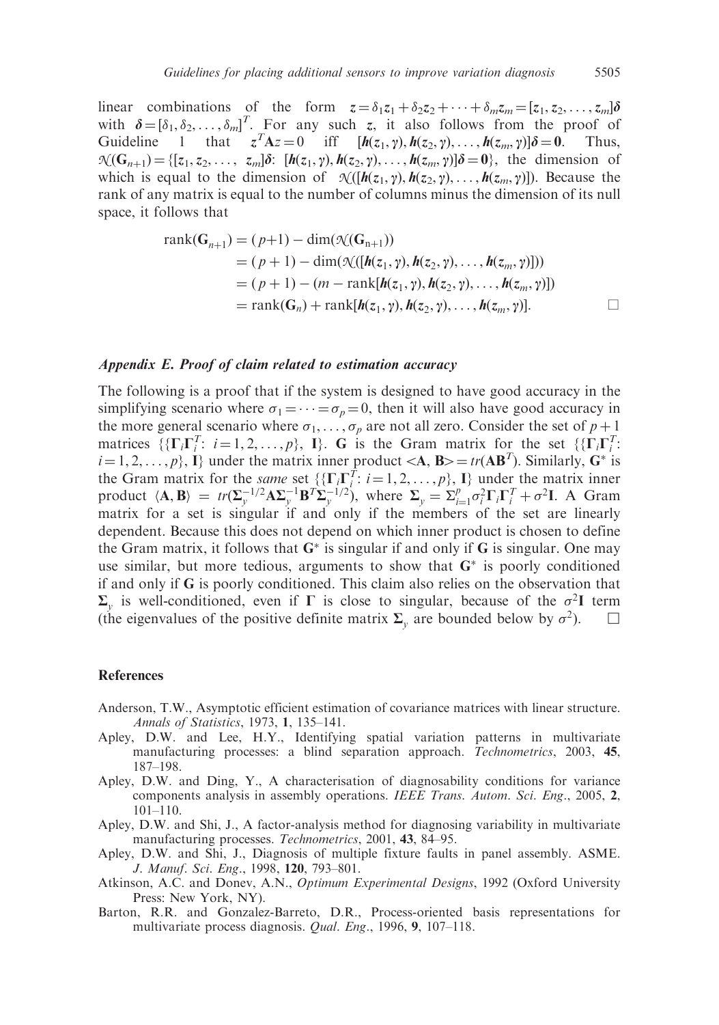linear combinations of the form  $z = \delta_1 z_1 + \delta_2 z_2 + \cdots + \delta_m z_m = [z_1, z_2, \ldots, z_m] \delta$ with  $\boldsymbol{\delta} = [\delta_1, \delta_2, \dots, \delta_m]^T$ . For any such z, it also follows from the proof of Guideline 1 that  $z^T A z = 0$  iff  $[h(z_1, \gamma), h(z_2, \gamma), ..., h(z_m, \gamma)] \delta = 0$ . Thus,  $\mathcal{N}(\mathbf{G}_{n+1}) = \{[\mathbf{z}_1, \mathbf{z}_2, \dots, \mathbf{z}_m] \delta: [\mathbf{h}(\mathbf{z}_1, \gamma), \mathbf{h}(\mathbf{z}_2, \gamma), \dots, \mathbf{h}(\mathbf{z}_m, \gamma)] \delta = \mathbf{0}\},\$  the dimension of which is equal to the dimension of  $\mathcal{N}([h(z_1, \gamma), h(z_2, \gamma), \dots, h(z_m, \gamma)])$ . Because the rank of any matrix is equal to the number of columns minus the dimension of its null space, it follows that

rank(**G**<sub>*n*+1</sub>) = (*p*+1) − dim(
$$
\mathcal{N}
$$
(**G**<sub>*n*+1</sub>))  
\n= (*p*+1) − dim( $\mathcal{N}$ ( $[h(z_1, \gamma), h(z_2, \gamma), ..., h(z_m, \gamma]$ ]))  
\n= (*p*+1) − (*m* − rank[ $h(z_1, \gamma), h(z_2, \gamma), ..., h(z_m, \gamma$ )])  
\n= rank(**G**<sub>*n*</sub>) + rank[ $h(z_1, \gamma), h(z_2, \gamma), ..., h(z_m, \gamma$ )].

#### Appendix E. Proof of claim related to estimation accuracy

The following is a proof that if the system is designed to have good accuracy in the simplifying scenario where  $\sigma_1 = \cdots = \sigma_n = 0$ , then it will also have good accuracy in the more general scenario where  $\sigma_1, \ldots, \sigma_n$  are not all zero. Consider the set of  $p + 1$ matrices  $\{\{\Gamma_i\Gamma_i^T: i=1,2,\ldots,p\},\ \mathbf{I}\}\$ . G is the Gram matrix for the set  $\{\{\Gamma_i\Gamma_i^T:$  $i = 1, 2, \ldots, p$ , I under the matrix inner product  $\langle A, B \rangle = tr(AB^T)$ . Similarly, G<sup>\*</sup> is the Gram matrix for the *same* set  $\{ {\{\Gamma_i \Gamma_i^T : i = 1, 2, ..., p\}, \{\Gamma_i\}} \}$  under the matrix inner product  $\langle \mathbf{A}, \mathbf{B} \rangle = tr(\Sigma_y^{-1/2} \mathbf{A} \Sigma_y^{-1} \mathbf{B}^T \Sigma_y^{-1/2}),$  where  $\Sigma_y = \Sigma_{i=1}^p \sigma_i^2 \Gamma_i \Gamma_i^T + \sigma^2 \mathbf{I}.$  A Gram matrix for a set is singular if and only if the members of the set are linearly dependent. Because this does not depend on which inner product is chosen to define the Gram matrix, it follows that  $G^*$  is singular if and only if G is singular. One may use similar, but more tedious, arguments to show that  $G^*$  is poorly conditioned if and only if G is poorly conditioned. This claim also relies on the observation that  $\Sigma_{v}$  is well-conditioned, even if  $\Gamma$  is close to singular, because of the  $\sigma^{2}I$  term (the eigenvalues of the positive definite matrix  $\Sigma_{v}$  are bounded below by  $\sigma^{2}$ ).  $\square$ 

#### **References**

- Anderson, T.W., Asymptotic efficient estimation of covariance matrices with linear structure. Annals of Statistics, 1973, 1, 135–141.
- Apley, D.W. and Lee, H.Y., Identifying spatial variation patterns in multivariate manufacturing processes: a blind separation approach. Technometrics, 2003, 45, 187–198.
- Apley, D.W. and Ding, Y., A characterisation of diagnosability conditions for variance components analysis in assembly operations. IEEE Trans. Autom. Sci. Eng., 2005, 2, 101–110.
- Apley, D.W. and Shi, J., A factor-analysis method for diagnosing variability in multivariate manufacturing processes. Technometrics, 2001, 43, 84–95.
- Apley, D.W. and Shi, J., Diagnosis of multiple fixture faults in panel assembly. ASME. J. Manuf. Sci. Eng., 1998, 120, 793–801.
- Atkinson, A.C. and Donev, A.N., Optimum Experimental Designs, 1992 (Oxford University Press: New York, NY).
- Barton, R.R. and Gonzalez-Barreto, D.R., Process-oriented basis representations for multivariate process diagnosis. Qual. Eng., 1996, 9, 107–118.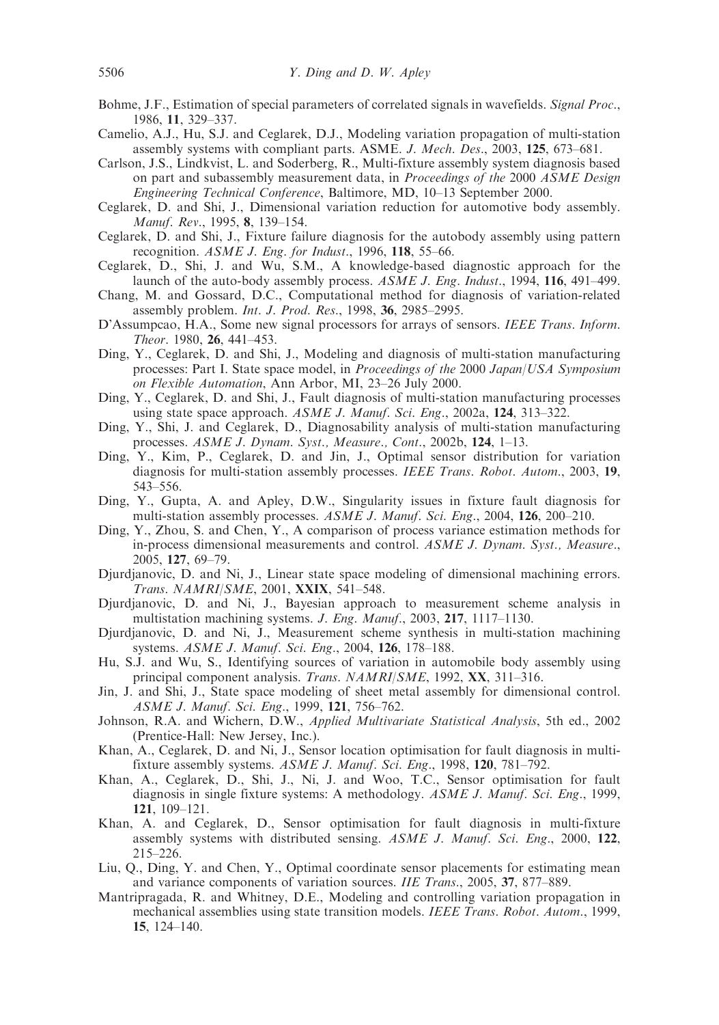- Bohme, J.F., Estimation of special parameters of correlated signals in wavefields. Signal Proc., 1986, 11, 329–337.
- Camelio, A.J., Hu, S.J. and Ceglarek, D.J., Modeling variation propagation of multi-station assembly systems with compliant parts. ASME. J. Mech. Des., 2003, 125, 673–681.
- Carlson, J.S., Lindkvist, L. and Soderberg, R., Multi-fixture assembly system diagnosis based on part and subassembly measurement data, in *Proceedings of the* 2000 ASME Design Engineering Technical Conference, Baltimore, MD, 10–13 September 2000.
- Ceglarek, D. and Shi, J., Dimensional variation reduction for automotive body assembly. Manuf. Rev., 1995, 8, 139–154.
- Ceglarek, D. and Shi, J., Fixture failure diagnosis for the autobody assembly using pattern recognition. ASME J. Eng. for Indust., 1996, 118, 55-66.
- Ceglarek, D., Shi, J. and Wu, S.M., A knowledge-based diagnostic approach for the launch of the auto-body assembly process. ASME J. Eng. Indust., 1994, 116, 491–499.
- Chang, M. and Gossard, D.C., Computational method for diagnosis of variation-related assembly problem. Int. J. Prod. Res., 1998, 36, 2985–2995.
- D'Assumpcao, H.A., Some new signal processors for arrays of sensors. IEEE Trans. Inform. Theor. 1980, 26, 441–453.
- Ding, Y., Ceglarek, D. and Shi, J., Modeling and diagnosis of multi-station manufacturing processes: Part I. State space model, in Proceedings of the 2000 Japan/USA Symposium on Flexible Automation, Ann Arbor, MI, 23–26 July 2000.
- Ding, Y., Ceglarek, D. and Shi, J., Fault diagnosis of multi-station manufacturing processes using state space approach. ASME J. Manuf. Sci. Eng., 2002a, 124, 313–322.
- Ding, Y., Shi, J. and Ceglarek, D., Diagnosability analysis of multi-station manufacturing processes. ASME J. Dynam. Syst., Measure., Cont., 2002b, 124, 1-13.
- Ding, Y., Kim, P., Ceglarek, D. and Jin, J., Optimal sensor distribution for variation diagnosis for multi-station assembly processes. IEEE Trans. Robot. Autom., 2003, 19, 543–556.
- Ding, Y., Gupta, A. and Apley, D.W., Singularity issues in fixture fault diagnosis for multi-station assembly processes. ASME J. Manuf. Sci. Eng., 2004, 126, 200–210.
- Ding, Y., Zhou, S. and Chen, Y., A comparison of process variance estimation methods for in-process dimensional measurements and control. ASME J. Dynam. Syst., Measure., 2005, 127, 69–79.
- Djurdjanovic, D. and Ni, J., Linear state space modeling of dimensional machining errors. Trans. NAMRI/SME, 2001, XXIX, 541–548.
- Djurdjanovic, D. and Ni, J., Bayesian approach to measurement scheme analysis in multistation machining systems. J. Eng. Manuf., 2003, 217, 1117–1130.
- Djurdjanovic, D. and Ni, J., Measurement scheme synthesis in multi-station machining systems. ASME J. Manuf. Sci. Eng., 2004, 126, 178-188.
- Hu, S.J. and Wu, S., Identifying sources of variation in automobile body assembly using principal component analysis. Trans. NAMRI/SME, 1992, XX, 311-316.
- Jin, J. and Shi, J., State space modeling of sheet metal assembly for dimensional control. ASME J. Manuf. Sci. Eng., 1999, 121, 756–762.
- Johnson, R.A. and Wichern, D.W., Applied Multivariate Statistical Analysis, 5th ed., 2002 (Prentice-Hall: New Jersey, Inc.).
- Khan, A., Ceglarek, D. and Ni, J., Sensor location optimisation for fault diagnosis in multifixture assembly systems. ASME J. Manuf. Sci. Eng., 1998, 120, 781–792.
- Khan, A., Ceglarek, D., Shi, J., Ni, J. and Woo, T.C., Sensor optimisation for fault diagnosis in single fixture systems: A methodology. ASME J. Manuf. Sci. Eng., 1999, 121, 109–121.
- Khan, A. and Ceglarek, D., Sensor optimisation for fault diagnosis in multi-fixture assembly systems with distributed sensing. ASME J. Manuf. Sci. Eng., 2000, 122, 215–226.
- Liu, Q., Ding, Y. and Chen, Y., Optimal coordinate sensor placements for estimating mean and variance components of variation sources. IIE Trans., 2005, 37, 877–889.
- Mantripragada, R. and Whitney, D.E., Modeling and controlling variation propagation in mechanical assemblies using state transition models. IEEE Trans. Robot. Autom., 1999, 15, 124–140.